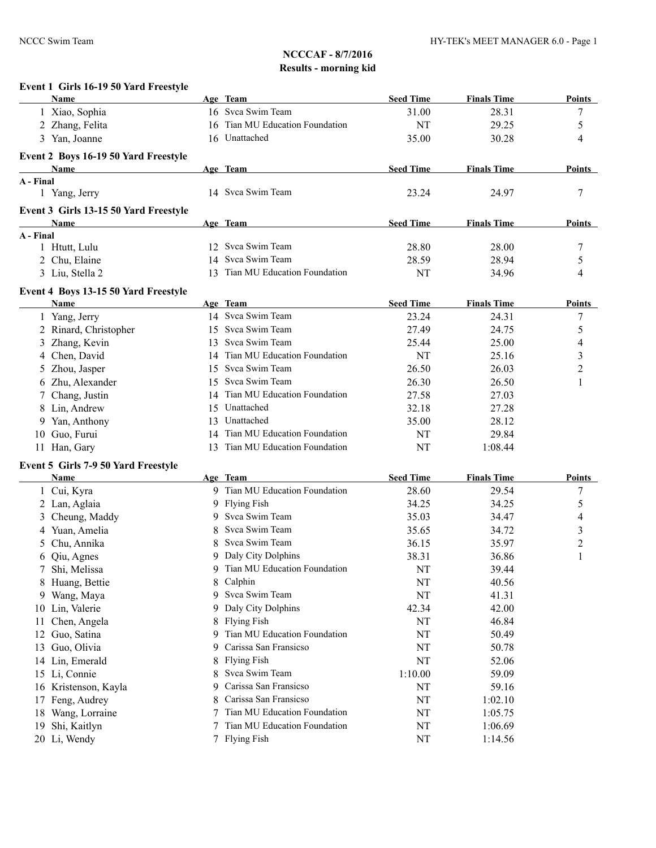|           | Event 1 Girls 16-19 50 Yard Freestyle<br><b>Name</b> |    | Age Team                        | <b>Seed Time</b> | <b>Finals Time</b> | Points                   |
|-----------|------------------------------------------------------|----|---------------------------------|------------------|--------------------|--------------------------|
|           | 1 Xiao, Sophia                                       |    | 16 Svca Swim Team               | 31.00            | 28.31              | 7                        |
|           | 2 Zhang, Felita                                      |    | 16 Tian MU Education Foundation | NT               | 29.25              | 5                        |
|           | 3 Yan, Joanne                                        |    | 16 Unattached                   | 35.00            | 30.28              | 4                        |
|           | Event 2 Boys 16-19 50 Yard Freestyle                 |    |                                 |                  |                    |                          |
|           | Name                                                 |    | Age Team                        | <b>Seed Time</b> | <b>Finals Time</b> | Points                   |
| A - Final |                                                      |    |                                 |                  |                    |                          |
|           | 1 Yang, Jerry                                        |    | 14 Svca Swim Team               | 23.24            | 24.97              | 7                        |
|           | Event 3 Girls 13-15 50 Yard Freestyle                |    |                                 |                  |                    |                          |
|           | Name                                                 |    | Age Team                        | <b>Seed Time</b> | <b>Finals Time</b> | Points                   |
| A - Final |                                                      |    |                                 |                  |                    |                          |
|           | 1 Htutt, Lulu                                        |    | 12 Svca Swim Team               | 28.80            | 28.00              | 7                        |
|           | 2 Chu, Elaine                                        |    | 14 Svca Swim Team               | 28.59            | 28.94              | 5                        |
|           | 3 Liu, Stella 2                                      |    | 13 Tian MU Education Foundation | NT               | 34.96              | 4                        |
|           | Event 4 Boys 13-15 50 Yard Freestyle                 |    |                                 |                  |                    |                          |
|           | Name                                                 |    | Age Team                        | <b>Seed Time</b> | <b>Finals Time</b> | Points                   |
|           | 1 Yang, Jerry                                        |    | 14 Svca Swim Team               | 23.24            | 24.31              | 7                        |
|           | 2 Rinard, Christopher                                |    | 15 Svca Swim Team               | 27.49            | 24.75              | 5                        |
| 3         | Zhang, Kevin                                         | 13 | Svca Swim Team                  | 25.44            | 25.00              | 4                        |
| 4         | Chen, David                                          |    | 14 Tian MU Education Foundation | NT               | 25.16              | 3                        |
| 5         | Zhou, Jasper                                         | 15 | Svca Swim Team                  | 26.50            | 26.03              | $\overline{c}$           |
| 6         | Zhu, Alexander                                       | 15 | Svca Swim Team                  | 26.30            | 26.50              | 1                        |
| 7         | Chang, Justin                                        | 14 | Tian MU Education Foundation    | 27.58            | 27.03              |                          |
| 8         | Lin, Andrew                                          | 15 | Unattached                      | 32.18            | 27.28              |                          |
| 9         | Yan, Anthony                                         | 13 | Unattached                      | 35.00            | 28.12              |                          |
| 10        | Guo, Furui                                           | 14 | Tian MU Education Foundation    | NT               | 29.84              |                          |
|           | 11 Han, Gary                                         | 13 | Tian MU Education Foundation    | NT               | 1:08.44            |                          |
|           | Event 5 Girls 7-9 50 Yard Freestyle                  |    |                                 |                  |                    |                          |
|           | Name                                                 |    | Age Team                        | <b>Seed Time</b> | <b>Finals Time</b> | <b>Points</b>            |
|           | 1 Cui, Kyra                                          |    | 9 Tian MU Education Foundation  | 28.60            | 29.54              | 7                        |
|           | 2 Lan, Aglaia                                        |    | 9 Flying Fish                   | 34.25            | 34.25              | 5                        |
|           | 3 Cheung, Maddy                                      |    | 9 Svca Swim Team                | 35.03            | 34.47              | $\overline{\mathcal{L}}$ |
| 4         | Yuan, Amelia                                         | 8  | Svca Swim Team                  | 35.65            | 34.72              | 3                        |
| 5         | Chu, Annika                                          | 8  | Svca Swim Team                  | 36.15            | 35.97              | $\overline{c}$           |
| 6         | Qiu, Agnes                                           |    | 9 Daly City Dolphins            | 38.31            | 36.86              | $\mathbf{1}$             |
|           | Shi, Melissa                                         | 9  | Tian MU Education Foundation    | NT               | 39.44              |                          |
| 8         | Huang, Bettie                                        | 8  | Calphin                         | NT               | 40.56              |                          |
| 9.        | Wang, Maya                                           | 9  | Svca Swim Team                  | NT               | 41.31              |                          |
|           | 10 Lin, Valerie                                      | 9  | Daly City Dolphins              | 42.34            | 42.00              |                          |
| 11        | Chen, Angela                                         | 8  | <b>Flying Fish</b>              | NT               | 46.84              |                          |
| 12        | Guo, Satina                                          | 9  | Tian MU Education Foundation    | NT               | 50.49              |                          |
|           | Guo, Olivia                                          | 9  | Carissa San Fransicso           | NT               | 50.78              |                          |
| 13        |                                                      |    | <b>Flying Fish</b>              |                  |                    |                          |
| 14        | Lin, Emerald                                         | 8  | Svca Swim Team                  | NT               | 52.06              |                          |
| 15        | Li, Connie                                           | 8  | Carissa San Fransicso           | 1:10.00          | 59.09              |                          |
| 16        | Kristenson, Kayla                                    | 9  |                                 | NT               | 59.16              |                          |
| 17        | Feng, Audrey                                         | 8  | Carissa San Fransicso           | NT               | 1:02.10            |                          |
| 18        | Wang, Lorraine                                       |    | Tian MU Education Foundation    | NT               | 1:05.75            |                          |
| 19        | Shi, Kaitlyn                                         |    | Tian MU Education Foundation    | NT               | 1:06.69            |                          |
|           | 20 Li, Wendy                                         |    | 7 Flying Fish                   | NT               | 1:14.56            |                          |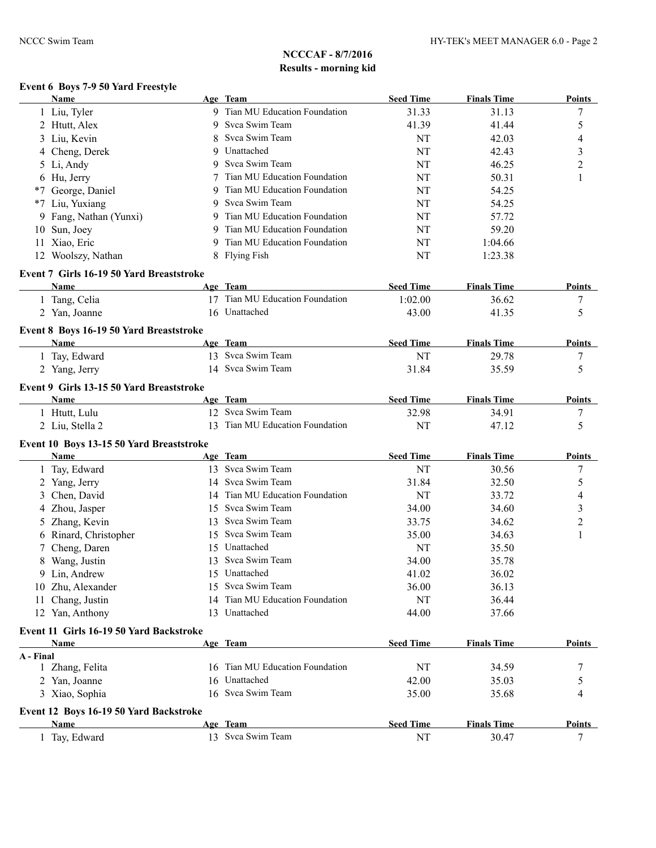# **Event 6 Boys 7-9 50 Yard Freestyle**

| <b>Name</b>                                           |   | Age Team                        | <b>Seed Time</b> | <b>Finals Time</b> | <b>Points</b> |
|-------------------------------------------------------|---|---------------------------------|------------------|--------------------|---------------|
| 1 Liu, Tyler                                          |   | 9 Tian MU Education Foundation  | 31.33            | 31.13              | 7             |
| 2 Htutt, Alex                                         |   | 9 Svca Swim Team                | 41.39            | 41.44              | 5             |
| 3 Liu, Kevin                                          |   | Svca Swim Team                  | NT               | 42.03              | 4             |
| 4 Cheng, Derek                                        | 9 | Unattached                      | NT               | 42.43              | 3             |
| 5 Li, Andy                                            | 9 | Svca Swim Team                  | NT               | 46.25              | 2             |
| 6 Hu, Jerry                                           |   | Tian MU Education Foundation    | NT               | 50.31              | 1             |
| *7 George, Daniel                                     |   | Tian MU Education Foundation    | NT               | 54.25              |               |
| *7 Liu, Yuxiang                                       | 9 | Svca Swim Team                  | NT               | 54.25              |               |
| 9 Fang, Nathan (Yunxi)                                |   | Tian MU Education Foundation    | NT               | 57.72              |               |
| 10 Sun, Joey                                          |   | Tian MU Education Foundation    | NT               | 59.20              |               |
| 11 Xiao, Eric                                         |   | Tian MU Education Foundation    | NT               | 1:04.66            |               |
| 12 Woolszy, Nathan                                    |   | 8 Flying Fish                   | NT               | 1:23.38            |               |
| Event 7 Girls 16-19 50 Yard Breaststroke              |   |                                 |                  |                    |               |
| Name                                                  |   | Age Team                        | <b>Seed Time</b> | <b>Finals Time</b> | Points        |
| 1 Tang, Celia                                         |   | 17 Tian MU Education Foundation | 1:02.00          | 36.62              | 7             |
| 2 Yan, Joanne                                         |   | 16 Unattached                   | 43.00            | 41.35              | 5             |
| Event 8 Boys 16-19 50 Yard Breaststroke               |   |                                 |                  |                    |               |
| <b>Name</b>                                           |   | Age Team                        | <b>Seed Time</b> | <b>Finals Time</b> | <b>Points</b> |
| 1 Tay, Edward                                         |   | 13 Svca Swim Team               | NT               | 29.78              | 7             |
| 2 Yang, Jerry                                         |   | 14 Svca Swim Team               | 31.84            | 35.59              | 5             |
| Event 9 Girls 13-15 50 Yard Breaststroke              |   |                                 |                  |                    |               |
| Name                                                  |   | Age Team                        | <b>Seed Time</b> | <b>Finals Time</b> | Points        |
| 1 Htutt, Lulu                                         |   | 12 Svca Swim Team               | 32.98            | 34.91              | 7             |
| 2 Liu, Stella 2                                       |   | 13 Tian MU Education Foundation | NT               | 47.12              | 5             |
|                                                       |   |                                 |                  |                    |               |
| Event 10 Boys 13-15 50 Yard Breaststroke<br>Name      |   | Age Team                        | <b>Seed Time</b> | <b>Finals Time</b> | Points        |
|                                                       |   | 13 Svca Swim Team               | NT               |                    |               |
| 1 Tay, Edward                                         |   | 14 Svca Swim Team               |                  | 30.56              | 7             |
| 2 Yang, Jerry                                         |   | 14 Tian MU Education Foundation | 31.84            | 32.50              | 5             |
| Chen, David<br>3                                      |   | 15 Svca Swim Team               | NT               | 33.72              | 4             |
| Zhou, Jasper<br>4                                     |   | 13 Svca Swim Team               | 34.00            | 34.60              | 3             |
| Zhang, Kevin<br>5                                     |   | 15 Svca Swim Team               | 33.75            | 34.62              | 2             |
| 6 Rinard, Christopher                                 |   |                                 | 35.00            | 34.63              | 1             |
| Cheng, Daren<br>7                                     |   | 15 Unattached                   | <b>NT</b>        | 35.50              |               |
| 8 Wang, Justin                                        |   | 13 Svca Swim Team               | 34.00            | 35.78              |               |
| 9 Lin, Andrew                                         |   | 15 Unattached                   | 41.02            | 36.02              |               |
| 10 Zhu, Alexander                                     |   | 15 Svca Swim Team               | 36.00            | 36.13              |               |
| 11 Chang, Justin                                      |   | 14 Tian MU Education Foundation | NT               | 36.44              |               |
| 12 Yan, Anthony                                       |   | 13 Unattached                   | 44.00            | 37.66              |               |
| Event 11 Girls 16-19 50 Yard Backstroke               |   |                                 |                  |                    |               |
| Name                                                  |   | Age Team                        | <b>Seed Time</b> | <b>Finals Time</b> | Points        |
| A - Final<br>1 Zhang, Felita                          |   | 16 Tian MU Education Foundation | NT               | 34.59              | 7             |
| 2 Yan, Joanne                                         |   | 16 Unattached                   | 42.00            | 35.03              | 5             |
| 3 Xiao, Sophia                                        |   | 16 Svca Swim Team               | 35.00            | 35.68              | 4             |
|                                                       |   |                                 |                  |                    |               |
| Event 12 Boys 16-19 50 Yard Backstroke<br><b>Name</b> |   | Age Team                        | <b>Seed Time</b> | <b>Finals Time</b> | <b>Points</b> |
| Tay, Edward                                           |   | 13 Svca Swim Team               | NT               | 30.47              | 7             |
|                                                       |   |                                 |                  |                    |               |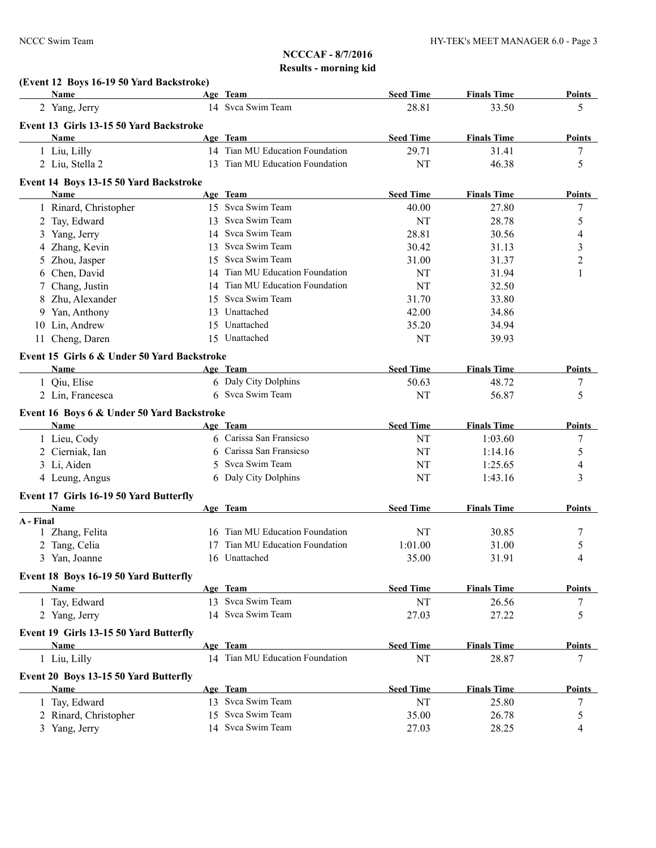|           | (Event 12 Boys 16-19 50 Yard Backstroke)<br><b>Name</b> |    | Age Team                        | <b>Seed Time</b> | <b>Finals Time</b> | Points        |
|-----------|---------------------------------------------------------|----|---------------------------------|------------------|--------------------|---------------|
|           | 2 Yang, Jerry                                           |    | 14 Svca Swim Team               | 28.81            | 33.50              | 5             |
|           | Event 13 Girls 13-15 50 Yard Backstroke                 |    |                                 |                  |                    |               |
|           | Name                                                    |    | Age Team                        | <b>Seed Time</b> | <b>Finals Time</b> | <b>Points</b> |
|           | 1 Liu, Lilly                                            |    | 14 Tian MU Education Foundation | 29.71            | 31.41              | 7             |
|           | 2 Liu, Stella 2                                         |    | 13 Tian MU Education Foundation | <b>NT</b>        | 46.38              | 5             |
|           |                                                         |    |                                 |                  |                    |               |
|           | Event 14 Boys 13-15 50 Yard Backstroke                  |    |                                 |                  |                    |               |
|           | Name                                                    |    | Age Team                        | <b>Seed Time</b> | <b>Finals Time</b> | <b>Points</b> |
|           | 1 Rinard, Christopher                                   |    | 15 Svca Swim Team               | 40.00            | 27.80              | 7             |
|           | 2 Tay, Edward                                           |    | 13 Svca Swim Team               | <b>NT</b>        | 28.78              | 5             |
| 3         | Yang, Jerry                                             |    | 14 Svca Swim Team               | 28.81            | 30.56              | 4             |
|           | 4 Zhang, Kevin                                          |    | 13 Svca Swim Team               | 30.42            | 31.13              | 3             |
|           | 5 Zhou, Jasper                                          | 15 | Svca Swim Team                  | 31.00            | 31.37              | 2             |
| 6         | Chen, David                                             |    | 14 Tian MU Education Foundation | NT               | 31.94              | 1             |
|           | 7 Chang, Justin                                         |    | 14 Tian MU Education Foundation | NT               | 32.50              |               |
| 8         | Zhu, Alexander                                          |    | 15 Svca Swim Team               | 31.70            | 33.80              |               |
| 9         | Yan, Anthony                                            | 13 | Unattached                      | 42.00            | 34.86              |               |
| 10        | Lin, Andrew                                             | 15 | Unattached                      | 35.20            | 34.94              |               |
| 11        | Cheng, Daren                                            |    | 15 Unattached                   | <b>NT</b>        | 39.93              |               |
|           | Event 15 Girls 6 & Under 50 Yard Backstroke             |    |                                 |                  |                    |               |
|           | Name                                                    |    | Age Team                        | <b>Seed Time</b> | <b>Finals Time</b> | <b>Points</b> |
|           | 1 Qiu, Elise                                            |    | 6 Daly City Dolphins            | 50.63            | 48.72              | 7             |
|           | 2 Lin, Francesca                                        |    | 6 Svca Swim Team                | <b>NT</b>        | 56.87              | 5             |
|           | Event 16 Boys 6 & Under 50 Yard Backstroke              |    |                                 |                  |                    |               |
|           | Name                                                    |    | Age Team                        | <b>Seed Time</b> | <b>Finals Time</b> | <b>Points</b> |
|           | 1 Lieu, Cody                                            | 6  | Carissa San Fransicso           | NT               | 1:03.60            | 7             |
|           | 2 Cierniak, Ian                                         | 6  | Carissa San Fransicso           | NT               | 1:14.16            | 5             |
|           | 3 Li, Aiden                                             | 5  | Svca Swim Team                  | <b>NT</b>        | 1:25.65            | 4             |
|           | 4 Leung, Angus                                          |    | 6 Daly City Dolphins            | <b>NT</b>        | 1:43.16            | 3             |
|           |                                                         |    |                                 |                  |                    |               |
|           | Event 17 Girls 16-19 50 Yard Butterfly                  |    |                                 |                  |                    |               |
|           | Name                                                    |    | Age Team                        | <b>Seed Time</b> | <b>Finals Time</b> | <b>Points</b> |
| A - Final |                                                         |    |                                 |                  |                    |               |
| 1         | Zhang, Felita                                           |    | 16 Tian MU Education Foundation | NT               | 30.85              | 7             |
|           | 2 Tang, Celia                                           |    | 17 Tian MU Education Foundation | 1:01.00          | 31.00              | 5             |
|           | 3 Yan, Joanne                                           |    | 16 Unattached                   | 35.00            | 31.91              | 4             |
|           | Event 18 Boys 16-19 50 Yard Butterfly                   |    |                                 |                  |                    |               |
|           | Name                                                    |    | Age Team                        | <b>Seed Time</b> | <b>Finals Time</b> | <b>Points</b> |
|           | 1 Tay, Edward                                           |    | 13 Svca Swim Team               | NT               | 26.56              | 7             |
|           | 2 Yang, Jerry                                           |    | 14 Svca Swim Team               | 27.03            | 27.22              | 5             |
|           | Event 19 Girls 13-15 50 Yard Butterfly                  |    |                                 |                  |                    |               |
|           | Name                                                    |    | Age Team                        | <b>Seed Time</b> | <b>Finals Time</b> | <b>Points</b> |
|           | 1 Liu, Lilly                                            |    | 14 Tian MU Education Foundation | NT               | 28.87              | 7             |
|           |                                                         |    |                                 |                  |                    |               |
|           | Event 20 Boys 13-15 50 Yard Butterfly                   |    |                                 |                  |                    |               |
|           | <b>Name</b>                                             |    | Age Team                        | <b>Seed Time</b> | <b>Finals Time</b> | <b>Points</b> |
|           | 1 Tay, Edward                                           |    | 13 Svca Swim Team               | <b>NT</b>        | 25.80              | 7             |
|           | 2 Rinard, Christopher                                   |    | 15 Svca Swim Team               | 35.00            | 26.78              | 5             |
|           | 3 Yang, Jerry                                           |    | 14 Svca Swim Team               | 27.03            | 28.25              | 4             |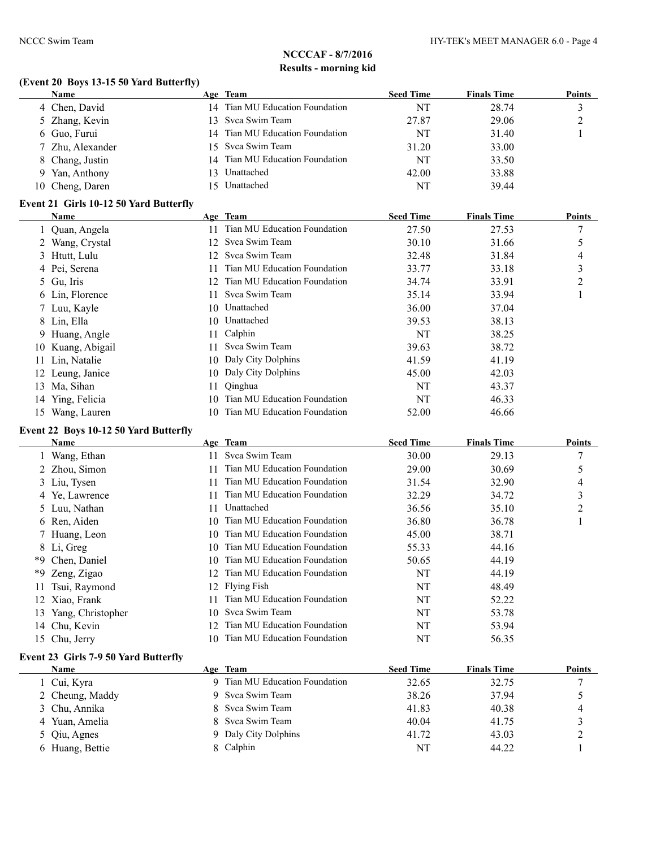## **(Event 20 Boys 13-15 50 Yard Butterfly)**

| <b>Name</b>      |    | Age Team                        | <b>Seed Time</b> | <b>Finals Time</b> | <b>Points</b> |
|------------------|----|---------------------------------|------------------|--------------------|---------------|
| 4 Chen, David    |    | 14 Tian MU Education Foundation | NT               | 28.74              |               |
| 5 Zhang, Kevin   |    | 13 Svca Swim Team               | 27.87            | 29.06              |               |
| 6 Guo, Furui     | 14 | Tian MU Education Foundation    | NT               | 31.40              |               |
| 7 Zhu, Alexander |    | 15 Svca Swim Team               | 31.20            | 33.00              |               |
| 8 Chang, Justin  |    | 14 Tian MU Education Foundation | NT               | 33.50              |               |
| 9 Yan, Anthony   | 3  | Unattached                      | 42.00            | 33.88              |               |
| 10 Cheng, Daren  |    | 15 Unattached                   | NT               | 39.44              |               |
|                  |    |                                 |                  |                    |               |

#### **Event 21 Girls 10-12 50 Yard Butterfly**

|     | Name             |     | Age Team                     | <b>Seed Time</b> | <b>Finals Time</b> | <b>Points</b> |
|-----|------------------|-----|------------------------------|------------------|--------------------|---------------|
|     | 1 Quan, Angela   |     | Tian MU Education Foundation | 27.50            | 27.53              | 7             |
|     | 2 Wang, Crystal  | 12. | Svca Swim Team               | 30.10            | 31.66              | 5             |
|     | 3 Htutt, Lulu    | 12. | Svca Swim Team               | 32.48            | 31.84              | 4             |
|     | 4 Pei, Serena    |     | Tian MU Education Foundation | 33.77            | 33.18              | 3             |
|     | 5 Gu, Iris       | 12. | Tian MU Education Foundation | 34.74            | 33.91              | 2             |
|     | 6 Lin, Florence  | 11  | Svca Swim Team               | 35.14            | 33.94              |               |
|     | 7 Luu, Kayle     |     | 10 Unattached                | 36.00            | 37.04              |               |
|     | 8 Lin, Ella      |     | 10 Unattached                | 39.53            | 38.13              |               |
|     | 9 Huang, Angle   | 11  | Calphin                      | NT               | 38.25              |               |
| 10  | Kuang, Abigail   | 11. | Svca Swim Team               | 39.63            | 38.72              |               |
| 11  | Lin, Natalie     | 10. | Daly City Dolphins           | 41.59            | 41.19              |               |
|     | 12 Leung, Janice |     | 10 Daly City Dolphins        | 45.00            | 42.03              |               |
| 13. | Ma, Sihan        | 11- | Qinghua                      | NT               | 43.37              |               |
|     | 14 Ying, Felicia | 10. | Tian MU Education Foundation | NT               | 46.33              |               |
| 15  | Wang, Lauren     | 10. | Tian MU Education Foundation | 52.00            | 46.66              |               |

### **Event 22 Boys 10-12 50 Yard Butterfly**

|     | Name              |     | Age Team                     | <b>Seed Time</b> | <b>Finals Time</b> | <b>Points</b>  |
|-----|-------------------|-----|------------------------------|------------------|--------------------|----------------|
|     | Wang, Ethan       | 11  | Svca Swim Team               | 30.00            | 29.13              |                |
|     | 2 Zhou, Simon     |     | Tian MU Education Foundation | 29.00            | 30.69              |                |
|     | 3 Liu, Tysen      | 11. | Tian MU Education Foundation | 31.54            | 32.90              | 4              |
|     | 4 Ye, Lawrence    |     | Tian MU Education Foundation | 32.29            | 34.72              | 3              |
|     | 5 Luu, Nathan     | 11. | Unattached                   | 36.56            | 35.10              | $\overline{c}$ |
|     | 6 Ren, Aiden      | 10. | Tian MU Education Foundation | 36.80            | 36.78              |                |
|     | 7 Huang, Leon     | 10. | Tian MU Education Foundation | 45.00            | 38.71              |                |
|     | 8 Li, Greg        | 10. | Tian MU Education Foundation | 55.33            | 44.16              |                |
| *9. | Chen, Daniel      | 10. | Tian MU Education Foundation | 50.65            | 44.19              |                |
| *9  | Zeng, Zigao       | 12. | Tian MU Education Foundation | NT               | 44.19              |                |
| 11  | Tsui, Raymond     |     | 12 Flying Fish               | NT               | 48.49              |                |
|     | 12 Xiao, Frank    | 11  | Tian MU Education Foundation | NT               | 52.22              |                |
| 13  | Yang, Christopher | 10. | Svca Swim Team               | NT               | 53.78              |                |
|     | 14 Chu, Kevin     | 12. | Tian MU Education Foundation | NT               | 53.94              |                |
|     | 15 Chu, Jerry     | 10  | Tian MU Education Foundation | NT               | 56.35              |                |

#### **Event 23 Girls 7-9 50 Yard Butterfly**

| <b>Name</b>     | Age Team                     | <b>Seed Time</b> | <b>Finals Time</b> | <b>Points</b> |
|-----------------|------------------------------|------------------|--------------------|---------------|
| 1 Cui, Kyra     | Tian MU Education Foundation | 32.65            | 32.75              |               |
| 2 Cheung, Maddy | 9 Svca Swim Team             | 38.26            | 37.94              |               |
| 3 Chu, Annika   | 8 Svca Swim Team             | 41.83            | 40.38              | 4             |
| 4 Yuan, Amelia  | 8 Svca Swim Team             | 40.04            | 41.75              |               |
| 5 Qiu, Agnes    | 9 Daly City Dolphins         | 41.72            | 43.03              |               |
| 6 Huang, Bettie | 8 Calphin                    | NT               | 44.22              |               |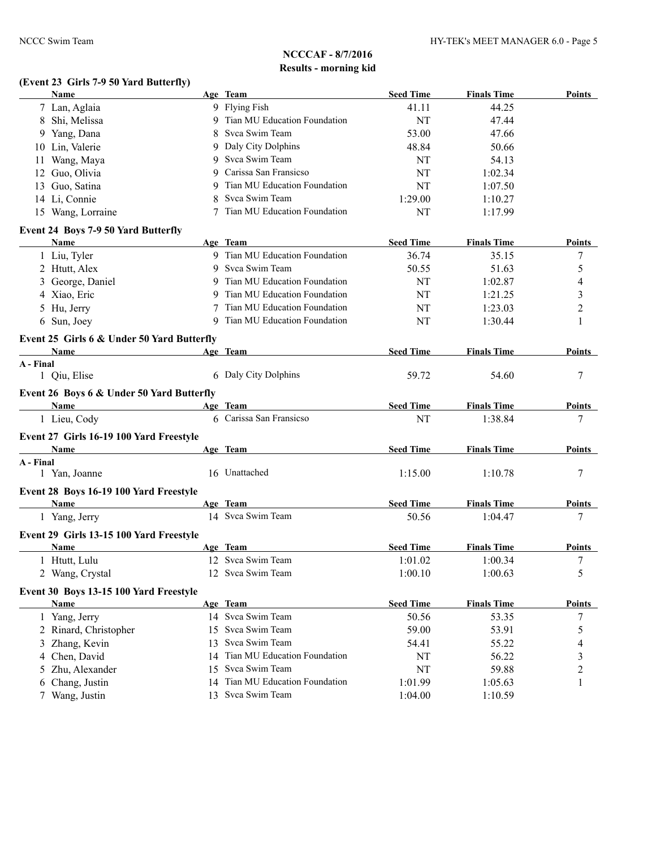## **(Event 23 Girls 7-9 50 Yard Butterfly)**

|           | Name                                           |    | Age Team                       | <b>Seed Time</b> | <b>Finals Time</b> | <b>Points</b> |
|-----------|------------------------------------------------|----|--------------------------------|------------------|--------------------|---------------|
|           | 7 Lan, Aglaia                                  |    | 9 Flying Fish                  | 41.11            | 44.25              |               |
|           | 8 Shi, Melissa                                 |    | 9 Tian MU Education Foundation | NT               | 47.44              |               |
|           | 9 Yang, Dana                                   | 8  | Svca Swim Team                 | 53.00            | 47.66              |               |
|           | 10 Lin, Valerie                                | 9  | Daly City Dolphins             | 48.84            | 50.66              |               |
| 11        | Wang, Maya                                     | 9  | Svca Swim Team                 | <b>NT</b>        | 54.13              |               |
|           | 12 Guo, Olivia                                 | 9  | Carissa San Fransicso          | NT               | 1:02.34            |               |
|           | 13 Guo, Satina                                 | 9  | Tian MU Education Foundation   | NT               | 1:07.50            |               |
|           | 14 Li, Connie                                  | 8  | Svca Swim Team                 | 1:29.00          | 1:10.27            |               |
|           | 15 Wang, Lorraine                              |    | Tian MU Education Foundation   | NT               | 1:17.99            |               |
|           | Event 24 Boys 7-9 50 Yard Butterfly            |    |                                |                  |                    |               |
|           | Name                                           |    | Age Team                       | <b>Seed Time</b> | <b>Finals Time</b> | <b>Points</b> |
|           | 1 Liu, Tyler                                   |    | 9 Tian MU Education Foundation | 36.74            | 35.15              | 7             |
|           | 2 Htutt, Alex                                  |    | 9 Svca Swim Team               | 50.55            | 51.63              | 5             |
|           | 3 George, Daniel                               | 9  | Tian MU Education Foundation   | NT               | 1:02.87            | 4             |
|           | 4 Xiao, Eric                                   | 9  | Tian MU Education Foundation   | NT               | 1:21.25            | 3             |
|           | 5 Hu, Jerry                                    | 7  | Tian MU Education Foundation   | NT               | 1:23.03            | 2             |
|           | 6 Sun, Joey                                    |    | 9 Tian MU Education Foundation | NT               | 1:30.44            | 1             |
|           | Event 25 Girls 6 & Under 50 Yard Butterfly     |    |                                |                  |                    |               |
|           | Name                                           |    | Age Team                       | <b>Seed Time</b> | <b>Finals Time</b> | <b>Points</b> |
| A - Final |                                                |    |                                |                  |                    |               |
|           | 1 Qiu, Elise                                   |    | 6 Daly City Dolphins           | 59.72            | 54.60              | 7             |
|           | Event 26 Boys 6 & Under 50 Yard Butterfly      |    |                                |                  |                    |               |
|           | Name                                           |    | Age Team                       | <b>Seed Time</b> | <b>Finals Time</b> | Points        |
|           | 1 Lieu, Cody                                   |    | 6 Carissa San Fransicso        | NT               | 1:38.84            | 7             |
|           | Event 27 Girls 16-19 100 Yard Freestyle        |    |                                |                  |                    |               |
|           | Name                                           |    | Age Team                       | <b>Seed Time</b> | <b>Finals Time</b> | Points        |
| A - Final |                                                |    |                                |                  |                    |               |
|           | 1 Yan, Joanne                                  |    | 16 Unattached                  | 1:15.00          | 1:10.78            | 7             |
|           |                                                |    |                                |                  |                    |               |
|           | Event 28 Boys 16-19 100 Yard Freestyle<br>Name |    | Age Team                       | <b>Seed Time</b> | <b>Finals Time</b> | <b>Points</b> |
|           | 1 Yang, Jerry                                  |    | 14 Svca Swim Team              | 50.56            | 1:04.47            | 7             |
|           |                                                |    |                                |                  |                    |               |
|           | Event 29 Girls 13-15 100 Yard Freestyle        |    |                                |                  |                    |               |
|           | Name                                           |    | Age Team                       | <b>Seed Time</b> | <b>Finals Time</b> | <b>Points</b> |
|           | 1 Htutt, Lulu                                  |    | 12 Svca Swim Team              | 1:01.02          | 1:00.34            | 7             |
|           | 2 Wang, Crystal                                |    | 12 Svca Swim Team              | 1:00.10          | 1:00.63            | 5             |
|           | Event 30 Boys 13-15 100 Yard Freestyle         |    |                                |                  |                    |               |
|           | <b>Name</b>                                    |    | Age Team                       | <b>Seed Time</b> | <b>Finals Time</b> | <b>Points</b> |
|           | 1 Yang, Jerry                                  |    | 14 Svca Swim Team              | 50.56            | 53.35              | 7             |
|           | 2 Rinard, Christopher                          |    | 15 Svca Swim Team              | 59.00            | 53.91              | 5             |
| 3         | Zhang, Kevin                                   | 13 | Svca Swim Team                 | 54.41            | 55.22              | 4             |
|           | 4 Chen, David                                  | 14 | Tian MU Education Foundation   | NT               | 56.22              | 3             |
| 5.        | Zhu, Alexander                                 | 15 | Svca Swim Team                 | NT               | 59.88              | 2             |
| 6         | Chang, Justin                                  | 14 | Tian MU Education Foundation   | 1:01.99          | 1:05.63            | 1             |
|           | 7 Wang, Justin                                 |    | 13 Svca Swim Team              | 1:04.00          | 1:10.59            |               |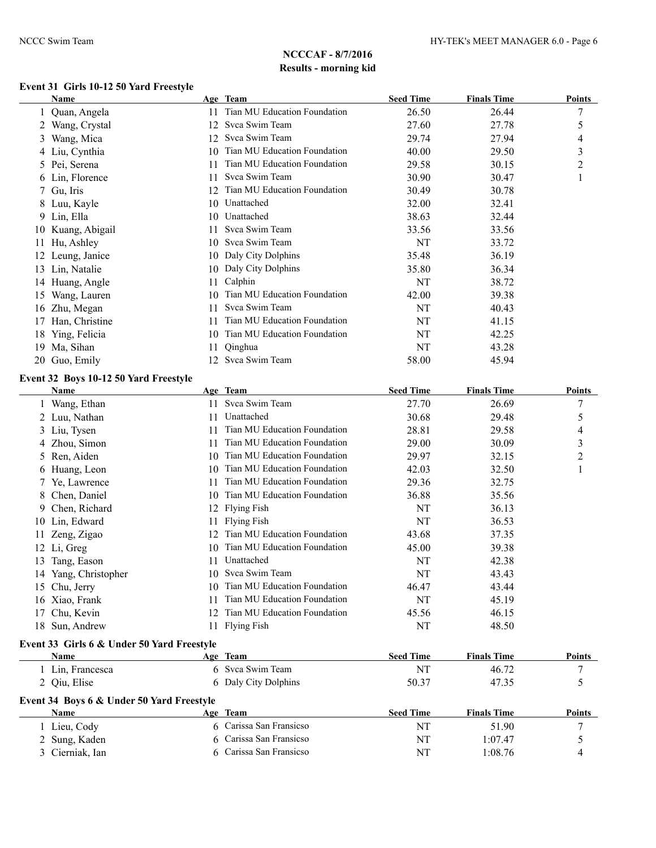## **Event 31 Girls 10-12 50 Yard Freestyle**

|     | Name            |     | Age Team                     | <b>Seed Time</b> | <b>Finals Time</b> | <b>Points</b> |
|-----|-----------------|-----|------------------------------|------------------|--------------------|---------------|
|     | Quan, Angela    |     | Tian MU Education Foundation | 26.50            | 26.44              | 7             |
|     | Wang, Crystal   | 12. | Svca Swim Team               | 27.60            | 27.78              | 5             |
| 3   | Wang, Mica      | 12  | Svca Swim Team               | 29.74            | 27.94              | 4             |
|     | 4 Liu, Cynthia  | 10  | Tian MU Education Foundation | 40.00            | 29.50              | 3             |
|     | 5 Pei, Serena   |     | Tian MU Education Foundation | 29.58            | 30.15              | 2             |
|     | 6 Lin, Florence |     | Svca Swim Team               | 30.90            | 30.47              |               |
|     | 7 Gu, Iris      |     | Tian MU Education Foundation | 30.49            | 30.78              |               |
|     | 8 Luu, Kayle    | 10  | Unattached                   | 32.00            | 32.41              |               |
|     | 9 Lin, Ella     | 10  | Unattached                   | 38.63            | 32.44              |               |
| 10  | Kuang, Abigail  |     | Svca Swim Team               | 33.56            | 33.56              |               |
|     | Hu, Ashley      | 10  | Svca Swim Team               | NT               | 33.72              |               |
| 12  | Leung, Janice   | 10  | Daly City Dolphins           | 35.48            | 36.19              |               |
| 13  | Lin, Natalie    | 10. | Daly City Dolphins           | 35.80            | 36.34              |               |
|     | 14 Huang, Angle | 11  | Calphin                      | NT               | 38.72              |               |
| 15  | Wang, Lauren    | 10  | Tian MU Education Foundation | 42.00            | 39.38              |               |
| 16  | Zhu, Megan      | 11  | Svca Swim Team               | NT               | 40.43              |               |
| 17  | Han, Christine  |     | Tian MU Education Foundation | NT               | 41.15              |               |
| 18  | Ying, Felicia   | 10  | Tian MU Education Foundation | NT               | 42.25              |               |
| 19. | Ma, Sihan       |     | Qinghua                      | NT               | 43.28              |               |
|     | 20 Guo, Emily   | 12  | Svca Swim Team               | 58.00            | 45.94              |               |

#### **Event 32 Boys 10-12 50 Yard Freestyle**

|    | <b>Name</b>                                |    | Age Team                     | <b>Seed Time</b> | <b>Finals Time</b> | <b>Points</b>  |
|----|--------------------------------------------|----|------------------------------|------------------|--------------------|----------------|
|    | Wang, Ethan                                | 11 | Svca Swim Team               | 27.70            | 26.69              | 7              |
|    | Luu, Nathan                                | 11 | Unattached                   | 30.68            | 29.48              | 5              |
| 3  | Liu, Tysen                                 | 11 | Tian MU Education Foundation | 28.81            | 29.58              | 4              |
| 4  | Zhou, Simon                                | 11 | Tian MU Education Foundation | 29.00            | 30.09              | 3              |
| 5  | Ren, Aiden                                 | 10 | Tian MU Education Foundation | 29.97            | 32.15              | $\overline{c}$ |
| 6  | Huang, Leon                                | 10 | Tian MU Education Foundation | 42.03            | 32.50              |                |
|    | Ye, Lawrence                               | 11 | Tian MU Education Foundation | 29.36            | 32.75              |                |
|    | Chen, Daniel                               | 10 | Tian MU Education Foundation | 36.88            | 35.56              |                |
| 9  | Chen, Richard                              | 12 | <b>Flying Fish</b>           | NT               | 36.13              |                |
| 10 | Lin, Edward                                | 11 | <b>Flying Fish</b>           | NT               | 36.53              |                |
|    | Zeng, Zigao                                | 12 | Tian MU Education Foundation | 43.68            | 37.35              |                |
| 12 | Li, Greg                                   | 10 | Tian MU Education Foundation | 45.00            | 39.38              |                |
| 13 | Tang, Eason                                | 11 | Unattached                   | NT               | 42.38              |                |
| 14 | Yang, Christopher                          | 10 | Svca Swim Team               | NT               | 43.43              |                |
| 15 | Chu, Jerry                                 | 10 | Tian MU Education Foundation | 46.47            | 43.44              |                |
| 16 | Xiao, Frank                                |    | Tian MU Education Foundation | <b>NT</b>        | 45.19              |                |
| 17 | Chu, Kevin                                 | 12 | Tian MU Education Foundation | 45.56            | 46.15              |                |
| 18 | Sun, Andrew                                | 11 | <b>Flying Fish</b>           | NT               | 48.50              |                |
|    | Event 33 Girls 6 & Under 50 Yard Freestyle |    |                              |                  |                    |                |
|    | Name                                       |    | Age Team                     | <b>Seed Time</b> | <b>Finals Time</b> | <b>Points</b>  |
|    | Lin, Francesca                             |    | Svca Swim Team               | NT               | 46.72              | 7              |
|    | 2 Qiu, Elise                               | 6  | Daly City Dolphins           | 50.37            | 47.35              | 5              |
|    | Event 34 Boys 6 & Under 50 Yard Freestyle  |    |                              |                  |                    |                |
|    | Name                                       |    | Age Team                     | <b>Seed Time</b> | <b>Finals Time</b> | Points         |
|    | Lieu, Cody                                 | 6  | Carissa San Fransicso        | NT               | 51.90              | 7              |
|    | Sung, Kaden                                |    | Carissa San Fransicso        | NT               | 1:07.47            | 5              |
| 3  | Cierniak, Ian                              | 6. | Carissa San Fransicso        | NT               | 1:08.76            | 4              |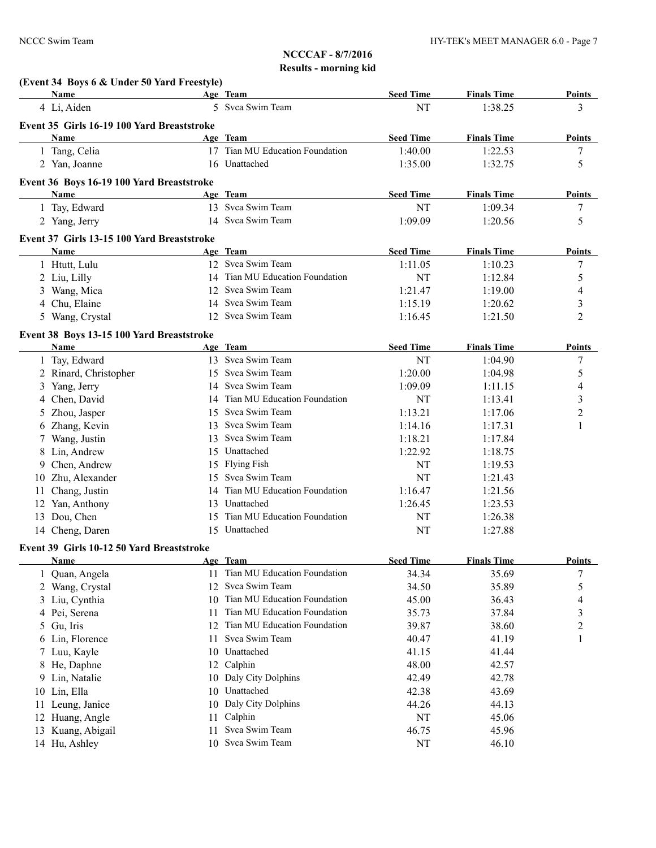|                | (Event 34 Boys 6 & Under 50 Yard Freestyle)              |          |                                 |                  |                    |                          |
|----------------|----------------------------------------------------------|----------|---------------------------------|------------------|--------------------|--------------------------|
|                | <b>Name</b>                                              |          | Age Team                        | <b>Seed Time</b> | <b>Finals Time</b> | <b>Points</b>            |
|                | 4 Li, Aiden                                              |          | 5 Svca Swim Team                | NT               | 1:38.25            | 3                        |
|                | Event 35 Girls 16-19 100 Yard Breaststroke               |          |                                 |                  |                    |                          |
|                | Name                                                     |          | Age Team                        | <b>Seed Time</b> | <b>Finals Time</b> | <b>Points</b>            |
|                | 1 Tang, Celia                                            |          | 17 Tian MU Education Foundation | 1:40.00          | 1:22.53            | 7                        |
|                | 2 Yan, Joanne                                            |          | 16 Unattached                   | 1:35.00          | 1:32.75            | 5                        |
|                | Event 36 Boys 16-19 100 Yard Breaststroke                |          |                                 |                  |                    |                          |
|                | Name                                                     |          | Age Team                        | <b>Seed Time</b> | <b>Finals Time</b> | <b>Points</b>            |
|                | 1 Tay, Edward                                            |          | 13 Svca Swim Team               | NT               | 1:09.34            | 7                        |
|                | 2 Yang, Jerry                                            |          | 14 Svca Swim Team               | 1:09.09          | 1:20.56            | 5                        |
|                | Event 37 Girls 13-15 100 Yard Breaststroke               |          |                                 |                  |                    |                          |
|                | Name                                                     |          | Age Team                        | <b>Seed Time</b> | <b>Finals Time</b> | <b>Points</b>            |
|                | 1 Htutt, Lulu                                            |          | 12 Svca Swim Team               | 1:11.05          | 1:10.23            | $\tau$                   |
|                | 2 Liu, Lilly                                             |          | 14 Tian MU Education Foundation | NT               | 1:12.84            | 5                        |
|                | 3 Wang, Mica                                             | 12       | Svca Swim Team                  | 1:21.47          | 1:19.00            | $\overline{4}$           |
|                | 4 Chu, Elaine                                            |          | 14 Svca Swim Team               | 1:15.19          | 1:20.62            | 3                        |
|                | 5 Wang, Crystal                                          |          | 12 Svca Swim Team               | 1:16.45          | 1:21.50            | $\overline{2}$           |
|                |                                                          |          |                                 |                  |                    |                          |
|                | Event 38 Boys 13-15 100 Yard Breaststroke<br><b>Name</b> |          | Age Team                        | <b>Seed Time</b> | <b>Finals Time</b> | <b>Points</b>            |
|                | 1 Tay, Edward                                            |          | 13 Svca Swim Team               | NT               | 1:04.90            | 7                        |
|                | 2 Rinard, Christopher                                    | 15       | Svca Swim Team                  | 1:20.00          | 1:04.98            | 5                        |
| 3 <sup>1</sup> | Yang, Jerry                                              |          | 14 Svca Swim Team               | 1:09.09          | 1:11.15            | $\overline{\mathcal{A}}$ |
|                | 4 Chen, David                                            | 14       | Tian MU Education Foundation    | <b>NT</b>        | 1:13.41            | $\mathfrak{Z}$           |
|                | 5 Zhou, Jasper                                           | 15       | Svca Swim Team                  | 1:13.21          | 1:17.06            | $\overline{c}$           |
|                | 6 Zhang, Kevin                                           | 13       | Svca Swim Team                  | 1:14.16          | 1:17.31            | 1                        |
| 7              | Wang, Justin                                             | 13       | Svca Swim Team                  | 1:18.21          | 1:17.84            |                          |
|                | 8 Lin, Andrew                                            | 15       | Unattached                      | 1:22.92          | 1:18.75            |                          |
|                | 9 Chen, Andrew                                           | 15       | <b>Flying Fish</b>              | NT               | 1:19.53            |                          |
|                | 10 Zhu, Alexander                                        | 15       | Svca Swim Team                  | NT               | 1:21.43            |                          |
| 11             | Chang, Justin                                            | 14       | Tian MU Education Foundation    | 1:16.47          | 1:21.56            |                          |
| 12             | Yan, Anthony                                             |          | 13 Unattached                   | 1:26.45          | 1:23.53            |                          |
|                | 13 Dou, Chen                                             | 15       | Tian MU Education Foundation    | NT               | 1:26.38            |                          |
|                | 14 Cheng, Daren                                          |          | 15 Unattached                   | NT               | 1:27.88            |                          |
|                |                                                          |          |                                 |                  |                    |                          |
|                | Event 39 Girls 10-12 50 Yard Breaststroke<br>Name        |          | Age Team                        | <b>Seed Time</b> | <b>Finals Time</b> | <b>Points</b>            |
|                | Quan, Angela                                             |          | Tian MU Education Foundation    | 34.34            | 35.69              | 7                        |
|                | 2 Wang, Crystal                                          | 12       | Svca Swim Team                  | 34.50            | 35.89              | 5                        |
|                | 3 Liu, Cynthia                                           | 10       | Tian MU Education Foundation    | 45.00            | 36.43              | 4                        |
|                | 4 Pei, Serena                                            | 11       | Tian MU Education Foundation    | 35.73            | 37.84              | 3                        |
| 5              | Gu, Iris                                                 | 12       | Tian MU Education Foundation    | 39.87            | 38.60              | $\overline{c}$           |
|                | Lin, Florence                                            | 11       | Svca Swim Team                  | 40.47            | 41.19              | 1                        |
| 6              |                                                          | 10       | Unattached                      | 41.15            | 41.44              |                          |
| 7              | Luu, Kayle<br>8 He, Daphne                               | 12       | Calphin                         | 48.00            | 42.57              |                          |
|                | 9 Lin, Natalie                                           | 10       | Daly City Dolphins              | 42.49            | 42.78              |                          |
|                |                                                          | 10       | Unattached                      | 42.38            | 43.69              |                          |
|                | 10 Lin, Ella                                             | 10       | Daly City Dolphins              | 44.26            | 44.13              |                          |
| 11             | Leung, Janice                                            |          | Calphin                         | $\rm{NT}$        | 45.06              |                          |
| 12             | Huang, Angle                                             | 11<br>11 | Svca Swim Team                  | 46.75            | 45.96              |                          |
| 13             | Kuang, Abigail                                           | 10       | Svca Swim Team                  |                  |                    |                          |
|                | 14 Hu, Ashley                                            |          |                                 | NT               | 46.10              |                          |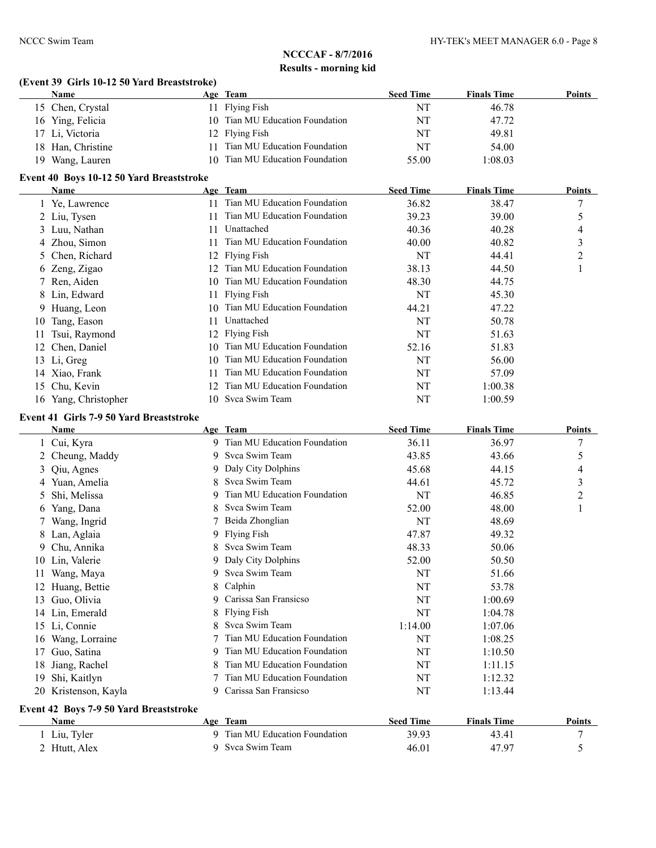#### **(Event 39 Girls 10-12 50 Yard Breaststroke)**

| Name               | Age Team                           | <b>Seed Time</b> | <b>Finals Time</b> | Points |
|--------------------|------------------------------------|------------------|--------------------|--------|
| 15 Chen, Crystal   | 11 Flying Fish                     | NT               | 46.78              |        |
| 16 Ying, Felicia   | 10 Tian MU Education Foundation    | NT               | 47.72              |        |
| 17 Li, Victoria    | 12 Flying Fish                     | NT               | 49.81              |        |
| 18 Han, Christine  | Tian MU Education Foundation<br>11 | NT               | 54.00              |        |
| Wang, Lauren<br>19 | 10 Tian MU Education Foundation    | 55.00            | 1:08.03            |        |

#### **Event 40 Boys 10-12 50 Yard Breaststroke**

|    | Name                 |     | Age Team                     | <b>Seed Time</b> | <b>Finals Time</b> | <b>Points</b> |
|----|----------------------|-----|------------------------------|------------------|--------------------|---------------|
|    | 1 Ye, Lawrence       | 11  | Tian MU Education Foundation | 36.82            | 38.47              | 7             |
|    | 2 Liu, Tysen         | 11  | Tian MU Education Foundation | 39.23            | 39.00              | 5             |
|    | 3 Luu, Nathan        | 11  | Unattached                   | 40.36            | 40.28              | 4             |
|    | 4 Zhou, Simon        |     | Tian MU Education Foundation | 40.00            | 40.82              | 3             |
|    | 5 Chen, Richard      |     | 12 Flying Fish               | NT               | 44.41              | 2             |
|    | 6 Zeng, Zigao        | 12. | Tian MU Education Foundation | 38.13            | 44.50              |               |
|    | 7 Ren, Aiden         | 10  | Tian MU Education Foundation | 48.30            | 44.75              |               |
|    | 8 Lin, Edward        | 11  | <b>Flying Fish</b>           | NT               | 45.30              |               |
|    | 9 Huang, Leon        | 10  | Tian MU Education Foundation | 44.21            | 47.22              |               |
| 10 | Tang, Eason          | 11  | Unattached                   | NT               | 50.78              |               |
|    | Tsui, Raymond        | 12  | <b>Flying Fish</b>           | NT               | 51.63              |               |
| 12 | Chen, Daniel         | 10  | Tian MU Education Foundation | 52.16            | 51.83              |               |
|    | 13 Li, Greg          | 10  | Tian MU Education Foundation | NT               | 56.00              |               |
|    | 14 Xiao, Frank       | 11  | Tian MU Education Foundation | NT               | 57.09              |               |
| 15 | Chu, Kevin           | 12. | Tian MU Education Foundation | NT               | 1:00.38            |               |
|    | 16 Yang, Christopher |     | 10 Svca Swim Team            | NT               | 1:00.59            |               |

#### **Event 41 Girls 7-9 50 Yard Breaststroke**

|    | Name                                   |   | Age Team                       | <b>Seed Time</b> | <b>Finals Time</b> | <b>Points</b> |
|----|----------------------------------------|---|--------------------------------|------------------|--------------------|---------------|
|    | Cui, Kyra                              |   | 9 Tian MU Education Foundation | 36.11            | 36.97              | 7             |
| 2  | Cheung, Maddy                          | 9 | Svca Swim Team                 | 43.85            | 43.66              | 5             |
| 3  | Qiu, Agnes                             | 9 | Daly City Dolphins             | 45.68            | 44.15              | 4             |
| 4  | Yuan, Amelia                           | 8 | Svca Swim Team                 | 44.61            | 45.72              | 3             |
| 5  | Shi, Melissa                           | 9 | Tian MU Education Foundation   | NT               | 46.85              | 2             |
| 6  | Yang, Dana                             | 8 | Svca Swim Team                 | 52.00            | 48.00              | 1             |
|    | Wang, Ingrid                           |   | Beida Zhonglian                | NT               | 48.69              |               |
| 8. | Lan, Aglaia                            | 9 | Flying Fish                    | 47.87            | 49.32              |               |
| 9. | Chu, Annika                            |   | Svca Swim Team                 | 48.33            | 50.06              |               |
| 10 | Lin, Valerie                           | 9 | Daly City Dolphins             | 52.00            | 50.50              |               |
|    | Wang, Maya                             | 9 | Svca Swim Team                 | NT               | 51.66              |               |
| 12 | Huang, Bettie                          | 8 | Calphin                        | NT               | 53.78              |               |
| 13 | Guo, Olivia                            | 9 | Carissa San Fransicso          | NT               | 1:00.69            |               |
| 14 | Lin, Emerald                           | 8 | <b>Flying Fish</b>             | NT               | 1:04.78            |               |
| 15 | Li, Connie                             |   | Svca Swim Team                 | 1:14.00          | 1:07.06            |               |
| 16 | Wang, Lorraine                         |   | Tian MU Education Foundation   | <b>NT</b>        | 1:08.25            |               |
| 17 | Guo, Satina                            | 9 | Tian MU Education Foundation   | NT               | 1:10.50            |               |
| 18 | Jiang, Rachel                          |   | Tian MU Education Foundation   | NT               | 1:11.15            |               |
| 19 | Shi, Kaitlyn                           |   | Tian MU Education Foundation   | NT               | 1:12.32            |               |
|    | 20 Kristenson, Kayla                   | 9 | Carissa San Fransicso          | NT               | 1:13.44            |               |
|    | Event 42 Boys 7-9 50 Yard Breaststroke |   |                                |                  |                    |               |
|    | Name                                   |   | Age Team                       | <b>Seed Time</b> | <b>Finals Time</b> | <b>Points</b> |
|    | Liu, Tyler                             |   | 9 Tian MU Education Foundation | 39.93            | 43.41              | 7             |
|    | 2 Htutt, Alex                          | 9 | Svca Swim Team                 | 46.01            | 47.97              | 5             |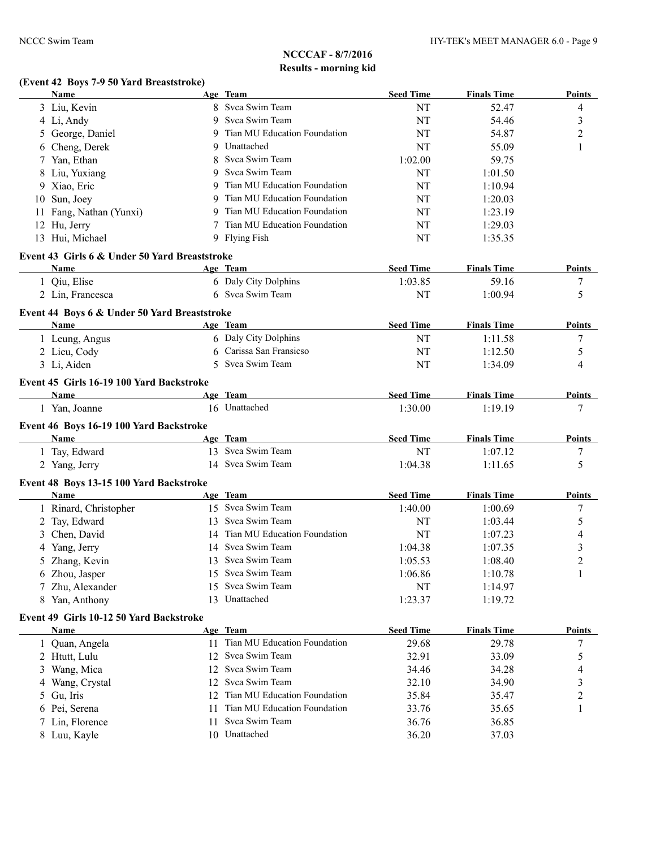## **(Event 42 Boys 7-9 50 Yard Breaststroke)**

| 8 Svca Swim Team<br>3 Liu, Kevin<br>9 Svca Swim Team<br>4 Li, Andy<br>Tian MU Education Foundation<br>George, Daniel<br>9<br>5<br>Unattached<br>Cheng, Derek<br>9<br>6<br>Svca Swim Team<br>1:02.00<br>Yan, Ethan<br>7<br>8<br>Svca Swim Team<br>8 Liu, Yuxiang<br>9<br>Tian MU Education Foundation<br>9 Xiao, Eric<br>9<br>Tian MU Education Foundation<br>10 Sun, Joey<br>9<br>Tian MU Education Foundation<br>11 Fang, Nathan (Yunxi)<br>9<br>Tian MU Education Foundation<br>12 Hu, Jerry<br>NT<br>13 Hui, Michael<br>9 Flying Fish | NT<br>52.47<br>NT<br>54.46<br><b>NT</b><br>54.87<br>NT<br>55.09<br>59.75<br>NT<br>1:01.50<br>1:10.94<br>NT<br>NT<br>1:20.03<br>NT<br>1:23.19<br>1:29.03 | 4<br>3<br>2<br>1 |
|------------------------------------------------------------------------------------------------------------------------------------------------------------------------------------------------------------------------------------------------------------------------------------------------------------------------------------------------------------------------------------------------------------------------------------------------------------------------------------------------------------------------------------------|---------------------------------------------------------------------------------------------------------------------------------------------------------|------------------|
|                                                                                                                                                                                                                                                                                                                                                                                                                                                                                                                                          |                                                                                                                                                         |                  |
|                                                                                                                                                                                                                                                                                                                                                                                                                                                                                                                                          |                                                                                                                                                         |                  |
|                                                                                                                                                                                                                                                                                                                                                                                                                                                                                                                                          |                                                                                                                                                         |                  |
|                                                                                                                                                                                                                                                                                                                                                                                                                                                                                                                                          |                                                                                                                                                         |                  |
|                                                                                                                                                                                                                                                                                                                                                                                                                                                                                                                                          |                                                                                                                                                         |                  |
|                                                                                                                                                                                                                                                                                                                                                                                                                                                                                                                                          |                                                                                                                                                         |                  |
|                                                                                                                                                                                                                                                                                                                                                                                                                                                                                                                                          |                                                                                                                                                         |                  |
|                                                                                                                                                                                                                                                                                                                                                                                                                                                                                                                                          |                                                                                                                                                         |                  |
|                                                                                                                                                                                                                                                                                                                                                                                                                                                                                                                                          |                                                                                                                                                         |                  |
|                                                                                                                                                                                                                                                                                                                                                                                                                                                                                                                                          |                                                                                                                                                         |                  |
|                                                                                                                                                                                                                                                                                                                                                                                                                                                                                                                                          | NT<br>1:35.35                                                                                                                                           |                  |
|                                                                                                                                                                                                                                                                                                                                                                                                                                                                                                                                          |                                                                                                                                                         |                  |
| Event 43 Girls 6 & Under 50 Yard Breaststroke                                                                                                                                                                                                                                                                                                                                                                                                                                                                                            |                                                                                                                                                         |                  |
| <b>Seed Time</b><br>Name<br>Age Team                                                                                                                                                                                                                                                                                                                                                                                                                                                                                                     | <b>Finals Time</b>                                                                                                                                      | Points           |
| 6 Daly City Dolphins<br>1:03.85<br>1 Qiu, Elise                                                                                                                                                                                                                                                                                                                                                                                                                                                                                          | 59.16                                                                                                                                                   | 7                |
| 6 Svca Swim Team<br>2 Lin, Francesca                                                                                                                                                                                                                                                                                                                                                                                                                                                                                                     | NT<br>1:00.94                                                                                                                                           | 5                |
| Event 44 Boys 6 & Under 50 Yard Breaststroke                                                                                                                                                                                                                                                                                                                                                                                                                                                                                             |                                                                                                                                                         |                  |
| Age Team<br><b>Seed Time</b><br>Name                                                                                                                                                                                                                                                                                                                                                                                                                                                                                                     | <b>Finals Time</b>                                                                                                                                      | Points           |
| 6 Daly City Dolphins<br>1 Leung, Angus                                                                                                                                                                                                                                                                                                                                                                                                                                                                                                   | NT<br>1:11.58                                                                                                                                           | 7                |
| 6 Carissa San Fransicso<br>2 Lieu, Cody                                                                                                                                                                                                                                                                                                                                                                                                                                                                                                  | NT<br>1:12.50                                                                                                                                           | 5                |
| 5 Svca Swim Team<br>3 Li, Aiden                                                                                                                                                                                                                                                                                                                                                                                                                                                                                                          | NT<br>1:34.09                                                                                                                                           | 4                |
|                                                                                                                                                                                                                                                                                                                                                                                                                                                                                                                                          |                                                                                                                                                         |                  |
| Event 45 Girls 16-19 100 Yard Backstroke                                                                                                                                                                                                                                                                                                                                                                                                                                                                                                 |                                                                                                                                                         |                  |
| Age Team<br><b>Seed Time</b><br>Name                                                                                                                                                                                                                                                                                                                                                                                                                                                                                                     | <b>Finals Time</b>                                                                                                                                      | Points           |
| 16 Unattached<br>1:30.00<br>1 Yan, Joanne                                                                                                                                                                                                                                                                                                                                                                                                                                                                                                | 1:19.19                                                                                                                                                 | 7                |
| Event 46 Boys 16-19 100 Yard Backstroke                                                                                                                                                                                                                                                                                                                                                                                                                                                                                                  |                                                                                                                                                         |                  |
| Age Team<br><b>Seed Time</b><br>Name                                                                                                                                                                                                                                                                                                                                                                                                                                                                                                     | <b>Finals Time</b>                                                                                                                                      | Points           |
| 13 Svca Swim Team<br>1 Tay, Edward                                                                                                                                                                                                                                                                                                                                                                                                                                                                                                       | NT<br>1:07.12                                                                                                                                           | 7                |
| 14 Svca Swim Team<br>1:04.38<br>2 Yang, Jerry                                                                                                                                                                                                                                                                                                                                                                                                                                                                                            | 1:11.65                                                                                                                                                 | 5                |
|                                                                                                                                                                                                                                                                                                                                                                                                                                                                                                                                          |                                                                                                                                                         |                  |
| Event 48 Boys 13-15 100 Yard Backstroke                                                                                                                                                                                                                                                                                                                                                                                                                                                                                                  |                                                                                                                                                         |                  |
| Age Team<br><b>Seed Time</b><br>Name                                                                                                                                                                                                                                                                                                                                                                                                                                                                                                     | <b>Finals Time</b>                                                                                                                                      | Points           |
| 15 Svca Swim Team<br>1 Rinard, Christopher<br>1:40.00                                                                                                                                                                                                                                                                                                                                                                                                                                                                                    | 1:00.69                                                                                                                                                 | 7                |
| 13 Svca Swim Team<br>2 Tay, Edward                                                                                                                                                                                                                                                                                                                                                                                                                                                                                                       | <b>NT</b><br>1:03.44                                                                                                                                    | 5                |
| 14 Tian MU Education Foundation<br>3 Chen, David                                                                                                                                                                                                                                                                                                                                                                                                                                                                                         | NT<br>1:07.23                                                                                                                                           | 4                |
| Svca Swim Team<br>4 Yang, Jerry<br>1:04.38<br>14                                                                                                                                                                                                                                                                                                                                                                                                                                                                                         | 1:07.35                                                                                                                                                 | 3                |
| 13 Svca Swim Team<br>5 Zhang, Kevin<br>1:05.53                                                                                                                                                                                                                                                                                                                                                                                                                                                                                           | 1:08.40                                                                                                                                                 | $\overline{c}$   |
| 15 Svca Swim Team<br>1:06.86<br>6 Zhou, Jasper                                                                                                                                                                                                                                                                                                                                                                                                                                                                                           | 1:10.78                                                                                                                                                 | 1                |
| 15 Svca Swim Team<br>7 Zhu, Alexander                                                                                                                                                                                                                                                                                                                                                                                                                                                                                                    | NT<br>1:14.97                                                                                                                                           |                  |
| 13 Unattached<br>8 Yan, Anthony<br>1:23.37                                                                                                                                                                                                                                                                                                                                                                                                                                                                                               | 1:19.72                                                                                                                                                 |                  |
| Event 49 Girls 10-12 50 Yard Backstroke                                                                                                                                                                                                                                                                                                                                                                                                                                                                                                  |                                                                                                                                                         |                  |
| <b>Seed Time</b><br>Age Team<br>Name                                                                                                                                                                                                                                                                                                                                                                                                                                                                                                     | <b>Finals Time</b>                                                                                                                                      | <b>Points</b>    |
| Tian MU Education Foundation<br>29.68<br>1 Quan, Angela<br>11                                                                                                                                                                                                                                                                                                                                                                                                                                                                            | 29.78                                                                                                                                                   | 7                |
| Svca Swim Team<br>2 Htutt, Lulu<br>32.91<br>12                                                                                                                                                                                                                                                                                                                                                                                                                                                                                           | 33.09                                                                                                                                                   | 5                |
| Svca Swim Team<br>3 Wang, Mica<br>12                                                                                                                                                                                                                                                                                                                                                                                                                                                                                                     | 34.28                                                                                                                                                   |                  |
| 34.46                                                                                                                                                                                                                                                                                                                                                                                                                                                                                                                                    |                                                                                                                                                         | 4                |
|                                                                                                                                                                                                                                                                                                                                                                                                                                                                                                                                          | 34.90                                                                                                                                                   | 3                |
| Svca Swim Team<br>4 Wang, Crystal<br>12<br>32.10                                                                                                                                                                                                                                                                                                                                                                                                                                                                                         |                                                                                                                                                         | 2                |
| Tian MU Education Foundation<br>5 Gu, Iris<br>35.84<br>12                                                                                                                                                                                                                                                                                                                                                                                                                                                                                | 35.47                                                                                                                                                   |                  |
| Tian MU Education Foundation<br>Pei, Serena<br>33.76<br>11<br>6                                                                                                                                                                                                                                                                                                                                                                                                                                                                          | 35.65                                                                                                                                                   | 1                |
| Svca Swim Team<br>Lin, Florence<br>36.76<br>11<br>7<br>10 Unattached<br>8 Luu, Kayle<br>36.20                                                                                                                                                                                                                                                                                                                                                                                                                                            | 36.85<br>37.03                                                                                                                                          |                  |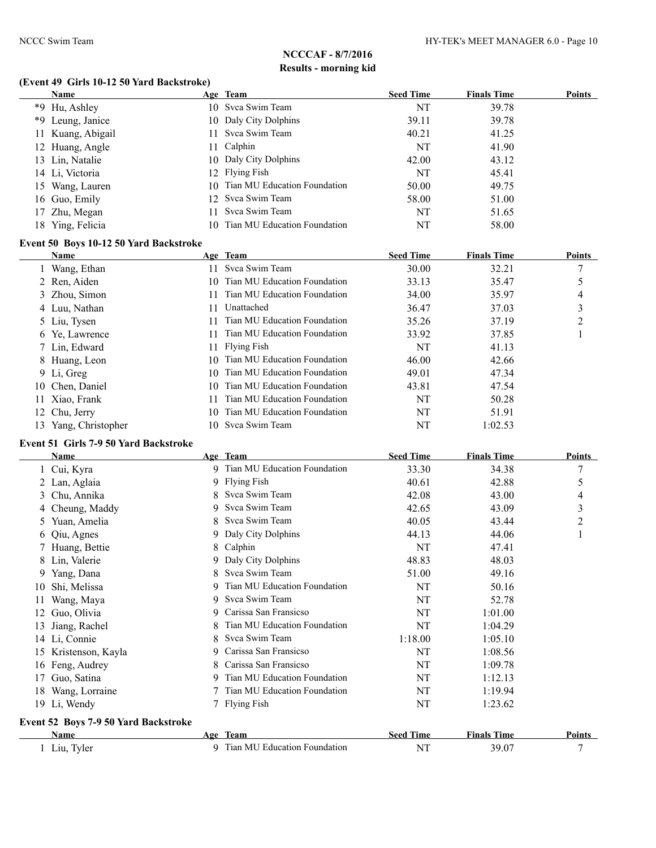## **(Event 49 Girls 10-12 50 Yard Backstroke)**

|    | Name              |     | Age Team                        | <b>Seed Time</b> | <b>Finals Time</b> | <b>Points</b> |
|----|-------------------|-----|---------------------------------|------------------|--------------------|---------------|
|    | *9 Hu, Ashley     |     | 10 Svca Swim Team               | NT               | 39.78              |               |
|    | *9 Leung, Janice  |     | 10 Daly City Dolphins           | 39.11            | 39.78              |               |
|    | 11 Kuang, Abigail |     | 11 Svca Swim Team               | 40.21            | 41.25              |               |
|    | 12 Huang, Angle   |     | 11 Calphin                      | NT               | 41.90              |               |
|    | 13 Lin, Natalie   |     | 10 Daly City Dolphins           | 42.00            | 43.12              |               |
|    | 14 Li, Victoria   |     | 12 Flying Fish                  | NT               | 45.41              |               |
| 15 | Wang, Lauren      |     | 10 Tian MU Education Foundation | 50.00            | 49.75              |               |
|    | 16 Guo, Emily     |     | 12 Svca Swim Team               | 58.00            | 51.00              |               |
|    | 17 Zhu, Megan     | 11. | Svca Swim Team                  | NT               | 51.65              |               |
|    | 18 Ying, Felicia  | 10. | Tian MU Education Foundation    | NT               | 58.00              |               |

#### **Event 50 Boys 10-12 50 Yard Backstroke**

| <b>Name</b>          |     | Age Team                        | <b>Seed Time</b> | <b>Finals Time</b> | <b>Points</b>  |
|----------------------|-----|---------------------------------|------------------|--------------------|----------------|
| 1 Wang, Ethan        | 11. | Svca Swim Team                  | 30.00            | 32.21              |                |
| 2 Ren, Aiden         | 10. | Tian MU Education Foundation    | 33.13            | 35.47              | 5              |
| 3 Zhou, Simon        |     | Tian MU Education Foundation    | 34.00            | 35.97              | 4              |
| 4 Luu, Nathan        | 11  | Unattached                      | 36.47            | 37.03              | 3              |
| 5 Liu, Tysen         |     | Tian MU Education Foundation    | 35.26            | 37.19              | $\overline{2}$ |
| 6 Ye, Lawrence       | 11. | Tian MU Education Foundation    | 33.92            | 37.85              |                |
| 7 Lin, Edward        |     | 11 Flying Fish                  | NT               | 41.13              |                |
| 8 Huang, Leon        |     | 10 Tian MU Education Foundation | 46.00            | 42.66              |                |
| 9 Li, Greg           | 10. | Tian MU Education Foundation    | 49.01            | 47.34              |                |
| 10 Chen, Daniel      | 10. | Tian MU Education Foundation    | 43.81            | 47.54              |                |
| 11 Xiao, Frank       | 11  | Tian MU Education Foundation    | NT               | 50.28              |                |
| 12 Chu, Jerry        | 10. | Tian MU Education Foundation    | NT               | 51.91              |                |
| 13 Yang, Christopher |     | 10 Svca Swim Team               | NT               | 1:02.53            |                |

#### **Event 51 Girls 7-9 50 Yard Backstroke**

|                  | Name                                 |    | Age Team                     | <b>Seed Time</b> | <b>Finals Time</b> | <b>Points</b> |
|------------------|--------------------------------------|----|------------------------------|------------------|--------------------|---------------|
|                  | 1 Cui, Kyra                          | 9  | Tian MU Education Foundation | 33.30            | 34.38              | 7             |
|                  | 2 Lan, Aglaia                        |    | 9 Flying Fish                | 40.61            | 42.88              | 5             |
| 3                | Chu, Annika                          |    | Svca Swim Team               | 42.08            | 43.00              | 4             |
|                  | 4 Cheung, Maddy                      | 9  | Svca Swim Team               | 42.65            | 43.09              | 3             |
| $\mathfrak{S}^-$ | Yuan, Amelia                         | 8. | Svca Swim Team               | 40.05            | 43.44              | 2             |
| 6.               | Qiu, Agnes                           | 9. | Daly City Dolphins           | 44.13            | 44.06              |               |
|                  | Huang, Bettie                        | 8  | Calphin                      | NT               | 47.41              |               |
| 8                | Lin, Valerie                         | 9  | Daly City Dolphins           | 48.83            | 48.03              |               |
| 9.               | Yang, Dana                           | 8  | Svca Swim Team               | 51.00            | 49.16              |               |
| 10               | Shi, Melissa                         |    | Tian MU Education Foundation | NT               | 50.16              |               |
| 11               | Wang, Maya                           | 9  | Svca Swim Team               | NT               | 52.78              |               |
| 12               | Guo, Olivia                          | 9  | Carissa San Fransicso        | NT               | 1:01.00            |               |
| 13               | Jiang, Rachel                        |    | Tian MU Education Foundation | NT               | 1:04.29            |               |
|                  | 14 Li, Connie                        | 8  | Svca Swim Team               | 1:18.00          | 1:05.10            |               |
| 15               | Kristenson, Kayla                    | 9  | Carissa San Fransicso        | NT               | 1:08.56            |               |
| 16               | Feng, Audrey                         |    | Carissa San Fransicso        | NT               | 1:09.78            |               |
| 17               | Guo, Satina                          | 9  | Tian MU Education Foundation | NT               | 1:12.13            |               |
| 18               | Wang, Lorraine                       |    | Tian MU Education Foundation | NT               | 1:19.94            |               |
|                  | 19 Li, Wendy                         |    | <b>Flying Fish</b>           | NT               | 1:23.62            |               |
|                  | Event 52 Boys 7-9 50 Yard Backstroke |    |                              |                  |                    |               |
|                  | Name                                 |    | Age Team                     | <b>Seed Time</b> | <b>Finals Time</b> | <b>Points</b> |
|                  | 1 Liu, Tyler                         | 9. | Tian MU Education Foundation | NT               | 39.07              | 7             |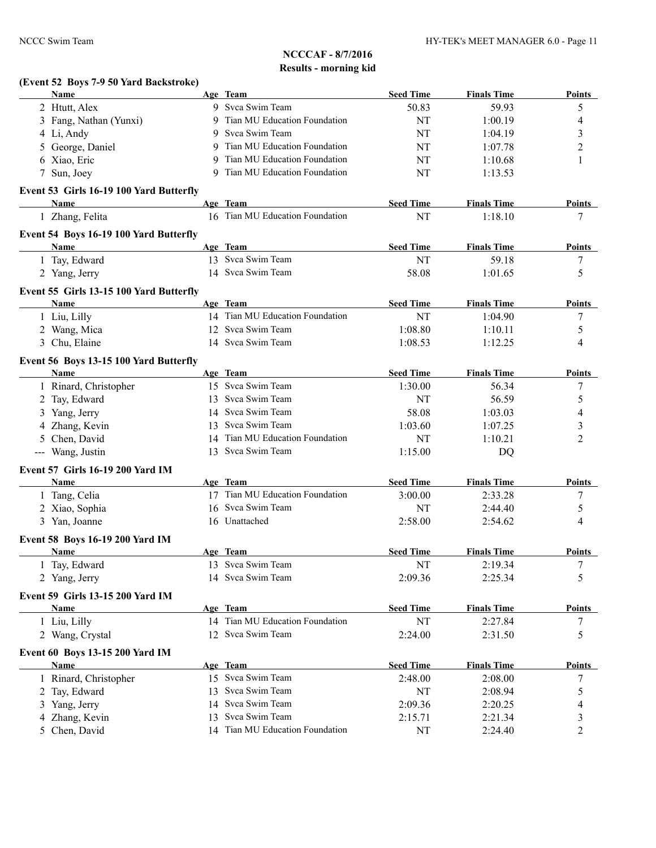| (Event 52 Boys 7-9 50 Yard Backstroke)<br>Name |   |                                             | <b>Seed Time</b> |                    |                     |
|------------------------------------------------|---|---------------------------------------------|------------------|--------------------|---------------------|
|                                                |   | Age Team<br>9 Svca Swim Team                |                  | <b>Finals Time</b> | <b>Points</b>       |
| 2 Htutt, Alex                                  |   | 9 Tian MU Education Foundation              | 50.83<br>NT      | 59.93              | 5                   |
| 3 Fang, Nathan (Yunxi)                         |   | 9 Svca Swim Team                            | NT               | 1:00.19<br>1:04.19 | 4                   |
| 4 Li, Andy<br>5 George, Daniel                 |   | 9 Tian MU Education Foundation              | NT               | 1:07.78            | 3                   |
| 6 Xiao, Eric                                   | 9 | Tian MU Education Foundation                |                  |                    | $\overline{c}$<br>1 |
| 7 Sun, Joey                                    |   | 9 Tian MU Education Foundation              | NT<br>NT         | 1:10.68<br>1:13.53 |                     |
|                                                |   |                                             |                  |                    |                     |
| Event 53 Girls 16-19 100 Yard Butterfly        |   |                                             |                  |                    |                     |
| Name                                           |   | Age Team<br>16 Tian MU Education Foundation | <b>Seed Time</b> | <b>Finals Time</b> | <b>Points</b><br>7  |
| 1 Zhang, Felita                                |   |                                             | NT               | 1:18.10            |                     |
| Event 54 Boys 16-19 100 Yard Butterfly         |   |                                             |                  |                    |                     |
| Name                                           |   | Age Team                                    | <b>Seed Time</b> | <b>Finals Time</b> | <b>Points</b>       |
| 1 Tay, Edward                                  |   | 13 Svca Swim Team                           | NT               | 59.18              | 7                   |
| 2 Yang, Jerry                                  |   | 14 Svca Swim Team                           | 58.08            | 1:01.65            | 5                   |
| Event 55 Girls 13-15 100 Yard Butterfly        |   |                                             |                  |                    |                     |
| <b>Name</b>                                    |   | Age Team                                    | <b>Seed Time</b> | <b>Finals Time</b> | <b>Points</b>       |
| 1 Liu, Lilly                                   |   | 14 Tian MU Education Foundation             | <b>NT</b>        | 1:04.90            | 7                   |
| 2 Wang, Mica                                   |   | 12 Svca Swim Team                           | 1:08.80          | 1:10.11            | 5                   |
| 3 Chu, Elaine                                  |   | 14 Svca Swim Team                           | 1:08.53          | 1:12.25            | 4                   |
| Event 56 Boys 13-15 100 Yard Butterfly         |   |                                             |                  |                    |                     |
| <b>Name</b>                                    |   | Age Team                                    | <b>Seed Time</b> | <b>Finals Time</b> | <b>Points</b>       |
| 1 Rinard, Christopher                          |   | 15 Svca Swim Team                           | 1:30.00          | 56.34              | 7                   |
| 2 Tay, Edward                                  |   | 13 Svca Swim Team                           | NT               | 56.59              | 5                   |
| 3 Yang, Jerry                                  |   | 14 Svca Swim Team                           | 58.08            | 1:03.03            | 4                   |
| 4 Zhang, Kevin                                 |   | 13 Svca Swim Team                           | 1:03.60          | 1:07.25            | 3                   |
| 5 Chen, David                                  |   | 14 Tian MU Education Foundation             | NT               | 1:10.21            | $\overline{2}$      |
| --- Wang, Justin                               |   | 13 Svca Swim Team                           | 1:15.00          | DQ                 |                     |
| <b>Event 57 Girls 16-19 200 Yard IM</b>        |   |                                             |                  |                    |                     |
| <b>Name</b>                                    |   | Age Team                                    | <b>Seed Time</b> | <b>Finals Time</b> | Points              |
| 1 Tang, Celia                                  |   | 17 Tian MU Education Foundation             | 3:00.00          | 2:33.28            | 7                   |
| 2 Xiao, Sophia                                 |   | 16 Svca Swim Team                           | NT               | 2:44.40            | 5                   |
| 3 Yan, Joanne                                  |   | 16 Unattached                               | 2:58.00          | 2:54.62            | 4                   |
| Event 58 Boys 16-19 200 Yard IM                |   |                                             |                  |                    |                     |
| <b>Name</b>                                    |   | Age Team                                    | <b>Seed Time</b> | <b>Finals Time</b> | <b>Points</b>       |
| 1 Tay, Edward                                  |   | 13 Svca Swim Team                           | <b>NT</b>        | 2:19.34            | 7                   |
| 2 Yang, Jerry                                  |   | 14 Svca Swim Team                           | 2:09.36          | 2:25.34            | 5                   |
|                                                |   |                                             |                  |                    |                     |
| Event 59 Girls 13-15 200 Yard IM               |   |                                             |                  |                    |                     |
| Name                                           |   | Age Team                                    | <b>Seed Time</b> | <b>Finals Time</b> | <b>Points</b>       |
| 1 Liu, Lilly                                   |   | 14 Tian MU Education Foundation             | NT               | 2:27.84            | 7                   |
| 2 Wang, Crystal                                |   | 12 Svca Swim Team                           | 2:24.00          | 2:31.50            | 5                   |
| Event 60 Boys 13-15 200 Yard IM                |   |                                             |                  |                    |                     |
| Name                                           |   | Age Team                                    | <b>Seed Time</b> | <b>Finals Time</b> | <b>Points</b>       |
| 1 Rinard, Christopher                          |   | 15 Svca Swim Team                           | 2:48.00          | 2:08.00            | 7                   |
| 2 Tay, Edward                                  |   | 13 Svca Swim Team                           | NT               | 2:08.94            | 5                   |
| 3 Yang, Jerry                                  |   | 14 Svca Swim Team                           | 2:09.36          | 2:20.25            | 4                   |
| 4 Zhang, Kevin                                 |   | 13 Svca Swim Team                           | 2:15.71          | 2:21.34            | 3                   |
| 5 Chen, David                                  |   | 14 Tian MU Education Foundation             | NT               | 2:24.40            | 2                   |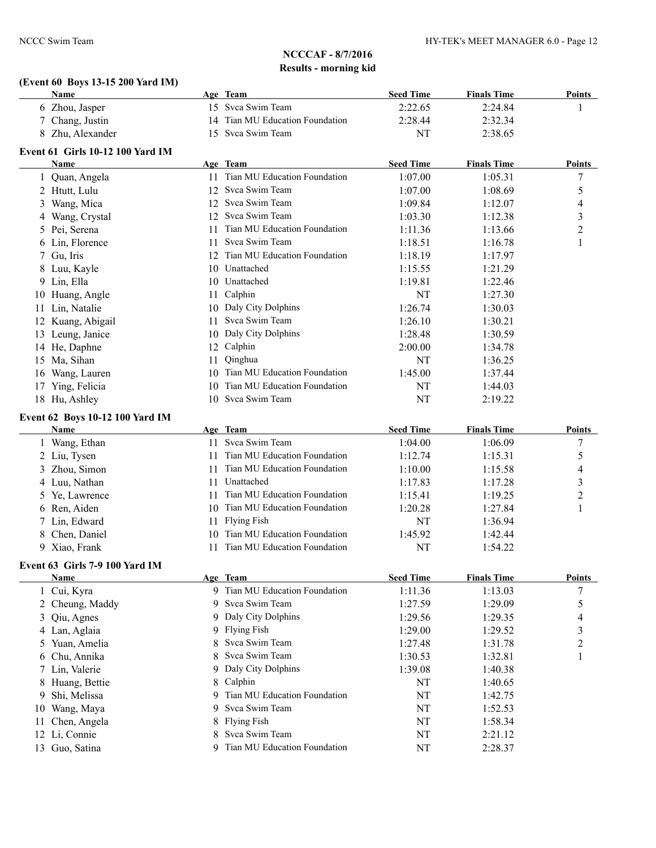#### **(Event 60 Boys 13-15 200 Yard IM) Name Age Team Seed Time Finals Time Points**

|    | 6 Zhou, Jasper                   | 15 | Svca Swim Team                  | 2:22.65          | 2:24.84            | 1                |
|----|----------------------------------|----|---------------------------------|------------------|--------------------|------------------|
|    | 7 Chang, Justin                  | 14 | Tian MU Education Foundation    | 2:28.44          | 2:32.34            |                  |
|    | 8 Zhu, Alexander                 | 15 | Svca Swim Team                  | NT               | 2:38.65            |                  |
|    | Event 61 Girls 10-12 100 Yard IM |    |                                 |                  |                    |                  |
|    | Name                             |    | Age Team                        | <b>Seed Time</b> | <b>Finals Time</b> | <b>Points</b>    |
|    | 1 Quan, Angela                   |    | 11 Tian MU Education Foundation | 1:07.00          | 1:05.31            | 7                |
|    | 2 Htutt, Lulu                    |    | 12 Svca Swim Team               | 1:07.00          | 1:08.69            | 5                |
|    | 3 Wang, Mica                     |    | 12 Svca Swim Team               | 1:09.84          | 1:12.07            | 4                |
|    | 4 Wang, Crystal                  |    | 12 Svca Swim Team               | 1:03.30          | 1:12.38            | 3                |
|    | 5 Pei, Serena                    | 11 | Tian MU Education Foundation    | 1:11.36          | 1:13.66            | 2                |
|    | 6 Lin, Florence                  |    | 11 Svca Swim Team               | 1:18.51          | 1:16.78            | $\mathbf{1}$     |
|    | 7 Gu, Iris                       |    | 12 Tian MU Education Foundation | 1:18.19          | 1:17.97            |                  |
|    | 8 Luu, Kayle                     |    | 10 Unattached                   | 1:15.55          | 1:21.29            |                  |
|    | 9 Lin, Ella                      |    | 10 Unattached                   | 1:19.81          | 1:22.46            |                  |
|    | 10 Huang, Angle                  |    | 11 Calphin                      | NT               | 1:27.30            |                  |
|    | 11 Lin, Natalie                  |    | 10 Daly City Dolphins           | 1:26.74          | 1:30.03            |                  |
|    | 12 Kuang, Abigail                |    | 11 Svca Swim Team               | 1:26.10          | 1:30.21            |                  |
|    | 13 Leung, Janice                 |    | 10 Daly City Dolphins           | 1:28.48          | 1:30.59            |                  |
|    | 14 He, Daphne                    |    | 12 Calphin                      | 2:00.00          | 1:34.78            |                  |
|    | 15 Ma, Sihan                     | 11 | Qinghua                         | NT               | 1:36.25            |                  |
|    |                                  |    | Tian MU Education Foundation    |                  |                    |                  |
|    | 16 Wang, Lauren                  | 10 | Tian MU Education Foundation    | 1:45.00          | 1:37.44            |                  |
|    | 17 Ying, Felicia                 | 10 | Svca Swim Team                  | NT               | 1:44.03            |                  |
|    | 18 Hu, Ashley                    | 10 |                                 | NT               | 2:19.22            |                  |
|    | Event 62 Boys 10-12 100 Yard IM  |    |                                 |                  |                    |                  |
|    | <b>Name</b>                      |    | Age Team                        | <b>Seed Time</b> | <b>Finals Time</b> | <b>Points</b>    |
|    | 1 Wang, Ethan                    |    | 11 Svca Swim Team               | 1:04.00          | 1:06.09            | 7                |
|    | 2 Liu, Tysen                     | 11 | Tian MU Education Foundation    | 1:12.74          | 1:15.31            | 5                |
|    | 3 Zhou, Simon                    | 11 | Tian MU Education Foundation    | 1:10.00          | 1:15.58            | 4                |
|    | 4 Luu, Nathan                    | 11 | Unattached                      | 1:17.83          | 1:17.28            | 3                |
|    | 5 Ye, Lawrence                   | 11 | Tian MU Education Foundation    | 1:15.41          | 1:19.25            | 2                |
|    | 6 Ren, Aiden                     | 10 | Tian MU Education Foundation    | 1:20.28          | 1:27.84            | 1                |
|    | 7 Lin, Edward                    | 11 | <b>Flying Fish</b>              | NT               | 1:36.94            |                  |
|    | 8 Chen, Daniel                   | 10 | Tian MU Education Foundation    | 1:45.92          | 1:42.44            |                  |
|    | 9 Xiao, Frank                    | 11 | Tian MU Education Foundation    | NT               | 1:54.22            |                  |
|    | Event 63 Girls 7-9 100 Yard IM   |    |                                 |                  |                    |                  |
|    | Name                             |    | Age Team                        | <b>Seed Time</b> | <b>Finals Time</b> | Points           |
| 1  | Cui, Kyra                        | 9  | Tian MU Education Foundation    | 1:11.36          | 1:13.03            | $\boldsymbol{7}$ |
| 2  | Cheung, Maddy                    | 9  | Svca Swim Team                  | 1:27.59          | 1:29.09            | 5                |
| 3  | Qiu, Agnes                       | 9  | Daly City Dolphins              | 1:29.56          | 1:29.35            | 4                |
|    | 4 Lan, Aglaia                    | 9  | <b>Flying Fish</b>              | 1:29.00          | 1:29.52            | 3                |
| 5. | Yuan, Amelia                     | 8  | Svca Swim Team                  | 1:27.48          | 1:31.78            | 2                |
| 6  | Chu, Annika                      | 8  | Svca Swim Team                  | 1:30.53          | 1:32.81            | 1                |
|    | 7 Lin, Valerie                   | 9  | Daly City Dolphins              | 1:39.08          | 1:40.38            |                  |
|    | 8 Huang, Bettie                  | 8  | Calphin                         | NT               | 1:40.65            |                  |
| 9  | Shi, Melissa                     | 9  | Tian MU Education Foundation    | NT               | 1:42.75            |                  |
| 10 | Wang, Maya                       | 9  | Svca Swim Team                  | NT               | 1:52.53            |                  |
| 11 | Chen, Angela                     | 8  | <b>Flying Fish</b>              | NT               | 1:58.34            |                  |
|    | 12 Li, Connie                    | 8  | Svca Swim Team                  | NT               | 2:21.12            |                  |
|    | 13 Guo, Satina                   | 9  | Tian MU Education Foundation    | NT               | 2:28.37            |                  |
|    |                                  |    |                                 |                  |                    |                  |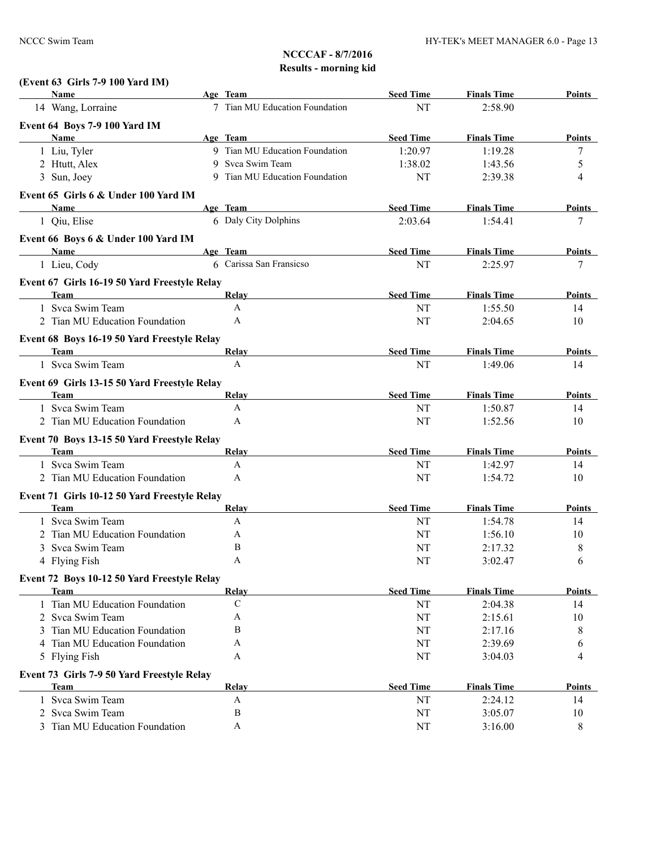| (Event 63 Girls 7-9 100 Yard IM) |
|----------------------------------|
|                                  |

| Name                                         | Age Team                       | <b>Seed Time</b> | <b>Finals Time</b>            | <b>Points</b>      |
|----------------------------------------------|--------------------------------|------------------|-------------------------------|--------------------|
| 14 Wang, Lorraine                            | 7 Tian MU Education Foundation | NT               | 2:58.90                       |                    |
| Event 64 Boys 7-9 100 Yard IM                |                                |                  |                               |                    |
| <b>Name</b>                                  | Age Team                       | <b>Seed Time</b> | <b>Finals Time</b>            | <b>Points</b>      |
| 1 Liu, Tyler                                 | 9 Tian MU Education Foundation | 1:20.97          | 1:19.28                       | 7                  |
| 2 Htutt, Alex                                | 9 Svca Swim Team               | 1:38.02          | 1:43.56                       | 5                  |
| 3 Sun, Joey                                  | 9 Tian MU Education Foundation | NT               | 2:39.38                       | 4                  |
| Event 65 Girls 6 & Under 100 Yard IM         |                                |                  |                               |                    |
| Name                                         | Age Team                       | <b>Seed Time</b> | <b>Finals Time</b>            | Points             |
| 1 Qiu, Elise                                 | 6 Daly City Dolphins           | 2:03.64          | 1:54.41                       | 7                  |
|                                              |                                |                  |                               |                    |
| Event 66 Boys 6 & Under 100 Yard IM<br>Name  | Age Team                       | <b>Seed Time</b> |                               |                    |
| 1 Lieu, Cody                                 | 6 Carissa San Fransicso        | NT               | <b>Finals Time</b><br>2:25.97 | <b>Points</b><br>7 |
|                                              |                                |                  |                               |                    |
| Event 67 Girls 16-19 50 Yard Freestyle Relay |                                |                  |                               |                    |
| <b>Team</b>                                  | Relay                          | <b>Seed Time</b> | <b>Finals Time</b>            | Points             |
| 1 Svca Swim Team                             | $\mathbf{A}$                   | NT               | 1:55.50                       | 14                 |
| 2 Tian MU Education Foundation               | A                              | NT               | 2:04.65                       | 10                 |
| Event 68 Boys 16-19 50 Yard Freestyle Relay  |                                |                  |                               |                    |
| Team                                         | Relay                          | <b>Seed Time</b> | <b>Finals Time</b>            | <b>Points</b>      |
| 1 Svca Swim Team                             | A                              | NT               | 1:49.06                       | 14                 |
| Event 69 Girls 13-15 50 Yard Freestyle Relay |                                |                  |                               |                    |
| <b>Team</b>                                  | Relay                          | <b>Seed Time</b> | <b>Finals Time</b>            | Points             |
| 1 Svca Swim Team                             | A                              | NT               | 1:50.87                       | 14                 |
| 2 Tian MU Education Foundation               | A                              | NT               | 1:52.56                       | 10                 |
| Event 70 Boys 13-15 50 Yard Freestyle Relay  |                                |                  |                               |                    |
| Team                                         | Relay                          | <b>Seed Time</b> | <b>Finals Time</b>            | <b>Points</b>      |
| 1 Svca Swim Team                             | A                              | NT               | 1:42.97                       | 14                 |
| 2 Tian MU Education Foundation               | A                              | NT               | 1:54.72                       | 10                 |
|                                              |                                |                  |                               |                    |
| Event 71 Girls 10-12 50 Yard Freestyle Relay |                                |                  |                               |                    |
| Team<br>1 Svca Swim Team                     | Relay<br>A                     | <b>Seed Time</b> | <b>Finals Time</b>            | <b>Points</b>      |
| 2 Tian MU Education Foundation               | A                              | NT<br>NT         | 1:54.78<br>1:56.10            | 14<br>10           |
| Svca Swim Team<br>3                          | B                              | NT               | 2:17.32                       | 8                  |
| 4 Flying Fish                                | A                              | NT               | 3:02.47                       | 6                  |
|                                              |                                |                  |                               |                    |
| Event 72 Boys 10-12 50 Yard Freestyle Relay  |                                |                  |                               |                    |
| <b>Team</b>                                  | Relay                          | <b>Seed Time</b> | <b>Finals Time</b>            | Points             |
| 1 Tian MU Education Foundation               | $\mathbf C$                    | NT               | 2:04.38                       | 14                 |
| 2 Svca Swim Team                             | A                              | NT               | 2:15.61                       | 10                 |
| Tian MU Education Foundation                 | B                              | NT               | 2:17.16                       | 8                  |
| 4 Tian MU Education Foundation               | A                              | NT               | 2:39.69                       | 6                  |
| 5 Flying Fish                                | A                              | NT               | 3:04.03                       | 4                  |
| Event 73 Girls 7-9 50 Yard Freestyle Relay   |                                |                  |                               |                    |
| <b>Team</b>                                  | Relay                          | <b>Seed Time</b> | <b>Finals Time</b>            | <b>Points</b>      |
| 1 Svca Swim Team                             | A                              | NT               | 2:24.12                       | 14                 |
| 2 Svca Swim Team                             | B                              | NT               | 3:05.07                       | 10                 |
| 3 Tian MU Education Foundation               | A                              | NT               | 3:16.00                       | 8                  |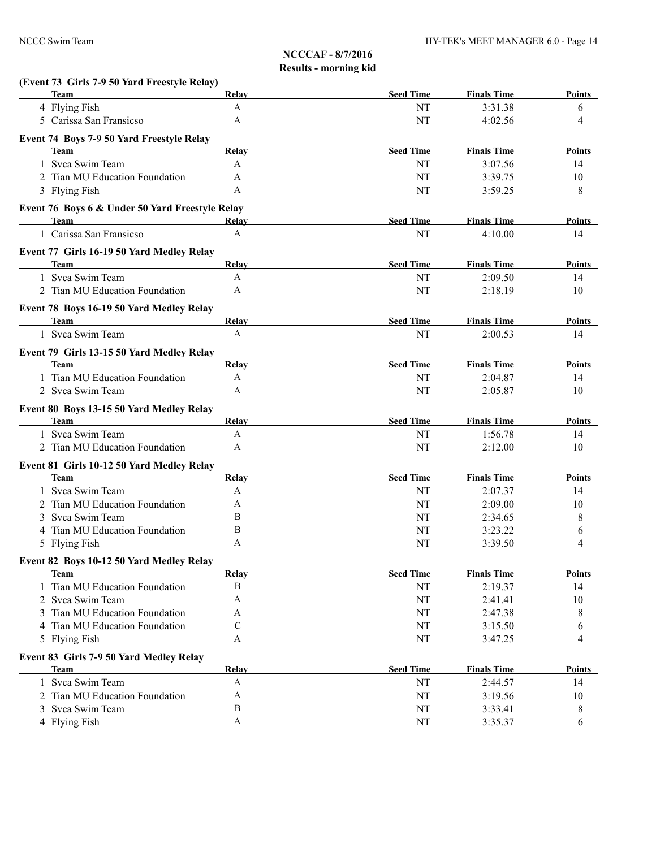| (Event 73 Girls 7-9 50 Yard Freestyle Relay)            |              |                  |                    |               |
|---------------------------------------------------------|--------------|------------------|--------------------|---------------|
| <b>Team</b>                                             | Relay        | <b>Seed Time</b> | <b>Finals Time</b> | Points        |
| 4 Flying Fish                                           | $\mathbf{A}$ | NT               | 3:31.38            | 6             |
| 5 Carissa San Fransicso                                 | A            | NT               | 4:02.56            | 4             |
| Event 74 Boys 7-9 50 Yard Freestyle Relay               |              |                  |                    |               |
| Team                                                    | Relay        | <b>Seed Time</b> | <b>Finals Time</b> | Points        |
| 1 Svca Swim Team                                        | A            | NT               | 3:07.56            | 14            |
| 2 Tian MU Education Foundation                          | A            | NT               | 3:39.75            | 10            |
| 3 Flying Fish                                           | A            | NT               | 3:59.25            | 8             |
| Event 76 Boys 6 & Under 50 Yard Freestyle Relay         |              |                  |                    |               |
| <b>Team</b>                                             | Relay        | <b>Seed Time</b> | <b>Finals Time</b> | Points        |
| 1 Carissa San Fransicso                                 | A            | NT               | 4:10.00            | 14            |
| Event 77 Girls 16-19 50 Yard Medley Relay               |              |                  |                    |               |
| Team                                                    | Relay        | <b>Seed Time</b> | <b>Finals Time</b> | Points        |
| 1 Svca Swim Team                                        | A            | NT               | 2:09.50            | 14            |
| 2 Tian MU Education Foundation                          | A            | NT               | 2:18.19            | 10            |
| Event 78 Boys 16-19 50 Yard Medley Relay                |              |                  |                    |               |
| <b>Team</b>                                             | Relay        | <b>Seed Time</b> | <b>Finals Time</b> | Points        |
| 1 Svca Swim Team                                        | A            | NT               | 2:00.53            | 14            |
| Event 79 Girls 13-15 50 Yard Medley Relay               |              |                  |                    |               |
| <b>Team</b>                                             | Relay        | <b>Seed Time</b> | <b>Finals Time</b> | <b>Points</b> |
| 1 Tian MU Education Foundation                          | A            | NT               | 2:04.87            | 14            |
| 2 Svca Swim Team                                        | A            | NT               | 2:05.87            | 10            |
|                                                         |              |                  |                    |               |
| Event 80 Boys 13-15 50 Yard Medley Relay<br><b>Team</b> | Relay        | <b>Seed Time</b> | <b>Finals Time</b> | Points        |
| 1 Svca Swim Team                                        | A            | NT               | 1:56.78            | 14            |
| 2 Tian MU Education Foundation                          | A            | NT               | 2:12.00            | 10            |
|                                                         |              |                  |                    |               |
| Event 81 Girls 10-12 50 Yard Medley Relay               |              |                  |                    |               |
| Team                                                    | Relay        | <b>Seed Time</b> | <b>Finals Time</b> | Points        |
| 1 Svca Swim Team                                        | A            | NT               | 2:07.37            | 14            |
| 2 Tian MU Education Foundation                          | A            | NT               | 2:09.00            | 10            |
| Svca Swim Team                                          | B            | NT               | 2:34.65            | 8             |
| Tian MU Education Foundation                            | B            | NT               | 3:23.22            | 6             |
| 5 Flying Fish                                           | A            | NT               | 3:39.50            | 4             |
| Event 82 Boys 10-12 50 Yard Medley Relay                |              |                  |                    |               |
| <b>Team</b>                                             | Relay        | <b>Seed Time</b> | <b>Finals Time</b> | <b>Points</b> |
| 1 Tian MU Education Foundation                          | B            | NT               | 2:19.37            | 14            |
| 2 Svca Swim Team                                        | Α            | NT               | 2:41.41            | 10            |
| 3 Tian MU Education Foundation                          | Α            | NT               | 2:47.38            | 8             |
| 4 Tian MU Education Foundation                          | C            | NT               | 3:15.50            | 6             |
| 5 Flying Fish                                           | A            | NT               | 3:47.25            | 4             |
| Event 83 Girls 7-9 50 Yard Medley Relay                 |              |                  |                    |               |
| <b>Team</b>                                             | <b>Relay</b> | <b>Seed Time</b> | <b>Finals Time</b> | <b>Points</b> |
| 1 Svca Swim Team                                        | A            | NT               | 2:44.57            | 14            |
| 2 Tian MU Education Foundation                          | A            | NT               | 3:19.56            | 10            |
| Svca Swim Team<br>3                                     | B            | NT               | 3:33.41            | 8             |
| 4 Flying Fish                                           | A            | $\rm{NT}$        | 3:35.37            | 6             |